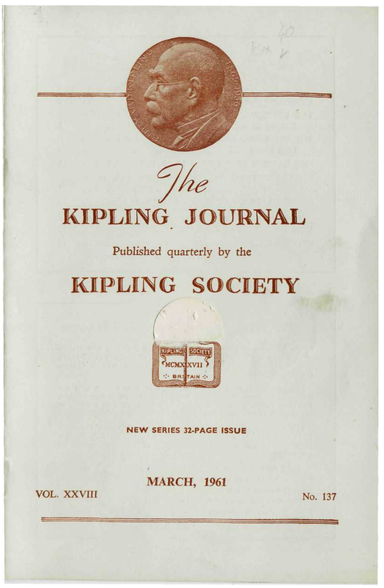

# KIPLING JOURNAL

### Published quarterly by the

## **KIPLING SOCIETY**



**NEW SERIES 32-PAGE ISSUE** 

**MARCH, 1961** 

**VOL. XXVIII** 

No. 137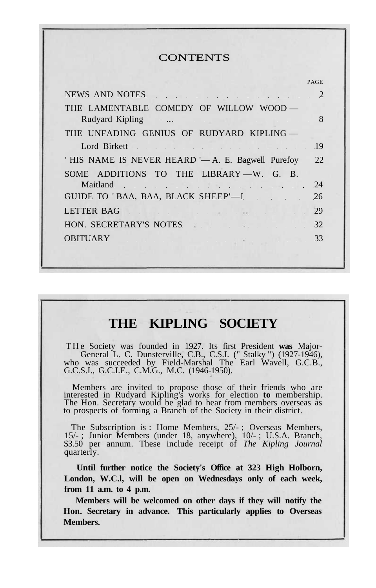#### **CONTENTS**

|                                                                                                                                                                                                                                | <b>PAGE</b>   |
|--------------------------------------------------------------------------------------------------------------------------------------------------------------------------------------------------------------------------------|---------------|
| NEWS AND NOTES NEWS AND NOTES                                                                                                                                                                                                  | $\mathcal{L}$ |
| THE LAMENTABLE COMEDY OF WILLOW WOOD —                                                                                                                                                                                         |               |
| Rudyard Kipling  . 8                                                                                                                                                                                                           |               |
| THE UNFADING GENIUS OF RUDYARD KIPLING —                                                                                                                                                                                       |               |
| Lord Birkett 19                                                                                                                                                                                                                |               |
| 'HIS NAME IS NEVER HEARD '— A. E. Bagwell Purefoy                                                                                                                                                                              | 22.           |
| SOME ADDITIONS TO THE LIBRARY $-W$ . G. B.                                                                                                                                                                                     |               |
| Maitland and the contract of the contract of the contract of the contract of the contract of the contract of the contract of the contract of the contract of the contract of the contract of the contract of the contract of t | 24            |
| GUIDE TO 'BAA, BAA, BLACK SHEEP'-I                                                                                                                                                                                             | 26            |
| LETTER BAG Reserves the contract of the contract of the contract of the contract of the contract of the contract of the contract of the contract of the contract of the contract of the contract of the contract of the contra | 29            |
| HON. SECRETARY'S NOTES                                                                                                                                                                                                         | 32            |
| OBITUARY 33                                                                                                                                                                                                                    |               |
|                                                                                                                                                                                                                                |               |

### **THE KIPLING SOCIETY**

THe Society was founded in 1927. Its first President was Major-General L. C. Dunsterville, C.B., C.S.I. (" Stalky ") (1927-1946), who was succeeded by Field-Marshal The Earl Wavell, G.C.B., G.C.S.I., G.C.I.E., C.M.G., M.C. (1946-1950).

Members are invited to propose those of their friends who are interested in Rudyard Kipling's works for election **to** membership. The Hon. Secretary would be glad to hear from members overseas as to prospects of forming a Branch of the Society in their district.

The Subscription is : Home Members, 25/- ; Overseas Members, 15/- ; Junior Members (under 18, anywhere), 10/- ; U.S.A. Branch, \$3.50 per annum. These include receipt of *The Kipling Journal* quarterly.

**Until further notice the Society's Office at 323 High Holborn, London, W.C.l, will be open on Wednesdays only of each week, from 11 a.m. to 4 p.m.**

**Members will be welcomed on other days if they will notify the Hon. Secretary in advance. This particularly applies to Overseas Members.**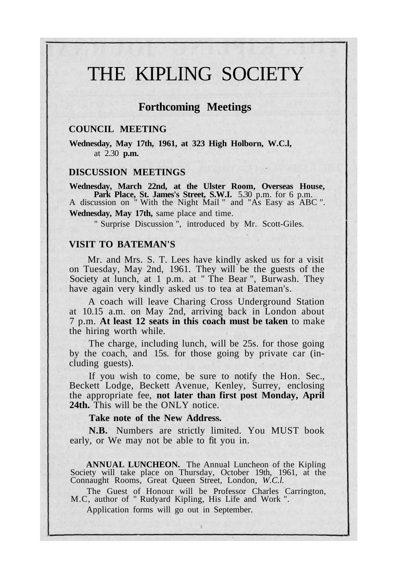## THE KIPLING SOCIETY

### **Forthcoming Meetings**

#### **COUNCIL MEETING**

**Wednesday, May 17th, 1961, at 323 High Holborn, W.C.l,** at 2.30 **p.m.**

#### **DISCUSSION MEETINGS**

**Wednesday, March 22nd, at the Ulster Room, Overseas House, Park Place, St. James's Street, S.W.I.** 5.30 p.m. for 6 p.m. A discussion on " With the Night Mail " and "As Easy as ABC ". **Wednesday, May 17th,** same place and time.

" Surprise Discussion ", introduced by Mr. Scott-Giles.

### **VISIT TO BATEMAN'S**

Mr. and Mrs. S. T. Lees have kindly asked us for a visit on Tuesday, May 2nd, 1961. They will be the guests of the Society at lunch, at 1 p.m. at " The Bear ", Burwash. They have again very kindly asked us to tea at Bateman's.

A coach will leave Charing Cross Underground Station at 10.15 a.m. on May 2nd, arriving back in London about 7 p.m. **At least 12 seats in this coach must be taken** to make the hiring worth while.

The charge, including lunch, will be 25s. for those going by the coach, and 15s. for those going by private car (including guests).

If you wish to come, be sure to notify the Hon. Sec., Beckett Lodge, Beckett Avenue, Kenley, Surrey, enclosing the appropriate fee, **not later than first post Monday, April 24th.** This will be the ONLY notice.

#### **Take note of the New Address.**

**N.B.** Numbers are strictly limited. You MUST book early, or We may not be able to fit you in.

**ANNUAL LUNCHEON.** The Annual Luncheon of the Kipling Society will take place on Thursday, October 19th, 1961, at the Connaught Rooms, Great Queen Street, London, *W.C.l.*

The Guest of Honour will be Professor Charles Carrington, M.C, author of " Rudyard Kipling, His Life and Work ".

Application forms will go out in September.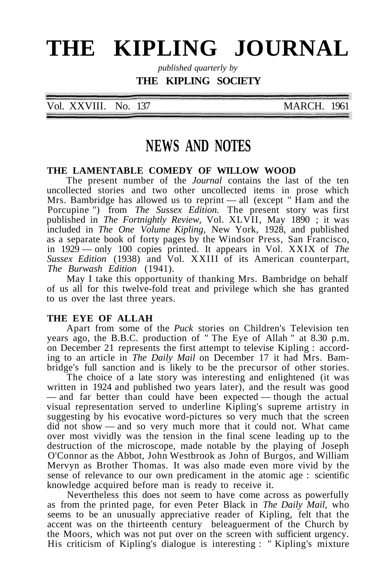## **THE KIPLING JOURNAL**

*published quarterly by*

### **THE KIPLING SOCIETY**

Vol. XXVIII. No. 137 MARCH. 1961

### **NEWS AND NOTES**

#### **THE LAMENTABLE COMEDY OF WILLOW WOOD**

The present number of the *Journal* contains the last of the ten uncollected stories and two other uncollected items in prose which Mrs. Bambridge has allowed us to reprint — all (except  $\overline{\phantom{a}}$  Ham and the Porcupine ") from *The Sussex Edition.* The present story was first published in *The Fortnightly Review,* Vol. XLVII, May 1890 ; it was included in *The One Volume Kipling,* New York, 1928, and published as a separate book of forty pages by the Windsor Press, San Francisco, in 1929 — only 100 copies printed. It appears in Vol. XXIX of *The Sussex Edition* (1938) and Vol. XXIII of its American counterpart, *The Burwash Edition* (1941).

May I take this opportunity of thanking Mrs. Bambridge on behalf of us all for this twelve-fold treat and privilege which she has granted to us over the last three years.

### **THE EYE OF ALLAH**

Apart from some of the *Puck* stories on Children's Television ten years ago, the B.B.C. production of " The Eye of Allah " at 8.30 p.m. on December 21 represents the first attempt to televise Kipling : according to an article in *The Daily Mail* on December 17 it had Mrs. Bambridge's full sanction and is likely to be the precursor of other stories.

The choice of a late story was interesting and enlightened (it was written in 1924 and published two years later), and the result was good — and far better than could have been expected — though the actual visual representation served to underline Kipling's supreme artistry in suggesting by his evocative word-pictures so very much that the screen did not show — and so very much more that it could not. What came over most vividly was the tension in the final scene leading up to the destruction of the microscope, made notable by the playing of Joseph O'Connor as the Abbot, John Westbrook as John of Burgos, and William Mervyn as Brother Thomas. It was also made even more vivid by the sense of relevance to our own predicament in the atomic age : scientific knowledge acquired before man is ready to receive it.

Nevertheless this does not seem to have come across as powerfully as from the printed page, for even Peter Black in *The Daily Mail,* who seems to be an unusually appreciative reader of Kipling, felt that the accent was on the thirteenth century beleaguerment of the Church by the Moors, which was not put over on the screen with sufficient urgency. His criticism of Kipling's dialogue is interesting : " Kipling's mixture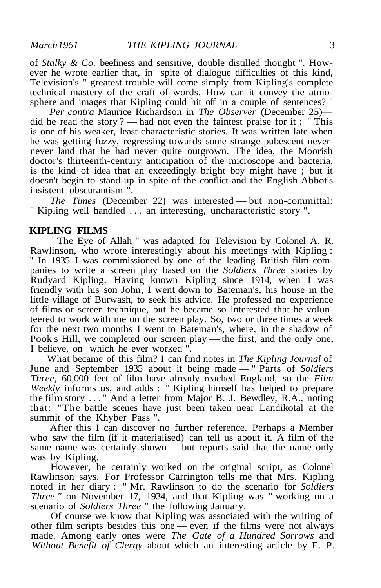of *Stalky & Co.* beefiness and sensitive, double distilled thought ". However he wrote earlier that, in spite of dialogue difficulties of this kind, Television's " greatest trouble will come simply from Kipling's complete technical mastery of the craft of words. How can it convey the atmosphere and images that Kipling could hit off in a couple of sentences? "

*Per contra* Maurice Richardson in *The Observer* (December 25) did he read the story ? — had not even the faintest praise for it : " This is one of his weaker, least characteristic stories. It was written late when he was getting fuzzy, regressing towards some strange pubescent nevernever land that he had never quite outgrown. The idea, the Moorish doctor's thirteenth-century anticipation of the microscope and bacteria, is the kind of idea that an exceedingly bright boy might have ; but it doesn't begin to stand up in spite of the conflict and the English Abbot's insistent obscurantism ".

*The Times* (December 22) was interested — but non-committal: " Kipling well handled .. . an interesting, uncharacteristic story ".

### **KIPLING FILMS**

" The Eye of Allah " was adapted for Television by Colonel A. R. Rawlinson, who wrote interestingly about his meetings with Kipling : '' In 1935 I was commissioned by one of the leading British film companies to write a screen play based on the *Soldiers Three* stories by Rudyard Kipling. Having known Kipling since 1914, when I was friendly with his son John, I went down to Bateman's, his house in the little village of Burwash, to seek his advice. He professed no experience of films or screen technique, but he became so interested that he volunteered to work with me on the screen play. So, two or three times a week for the next two months I went to Bateman's, where, in the shadow of Pook's Hill, we completed our screen play — the first, and the only one, I believe, on which he ever worked ".

What became of this film? I can find notes in *The Kipling Journal* of June and September 1935 about it being made — " Parts of *Soldiers Three,* 60,000 feet of film have already reached England, so the *Film Weekly* informs us, and adds : " Kipling himself has helped to prepare the film story ... " And a letter from Major B. J. Bewdley, R.A., noting that: "The battle scenes have just been taken near Landikotal at the summit of the Khyber Pass ".

After this I can discover no further reference. Perhaps a Member who saw the film (if it materialised) can tell us about it. A film of the same name was certainly shown — but reports said that the name only was by Kipling.

However, he certainly worked on the original script, as Colonel Rawlinson says. For Professor Carrington tells me that Mrs. Kipling noted in her diary : " Mr. Rawlinson to do the scenario for *Soldiers Three "* on November 17, 1934, and that Kipling was " working on a scenario of *Soldiers Three* " the following January.

Of course we know that Kipling was associated with the writing of other film scripts besides this one — even if the films were not always made. Among early ones were *The Gate of a Hundred Sorrows* and *Without Benefit of Clergy* about which an interesting article by E. P.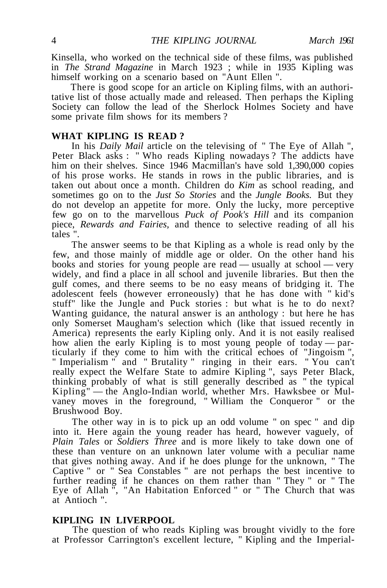Kinsella, who worked on the technical side of these films, was published in *The Strand Magazine* in March 1923 ; while in 1935 Kipling was himself working on a scenario based on "Aunt Ellen ".

There is good scope for an article on Kipling films, with an authoritative list of those actually made and released. Then perhaps the Kipling Society can follow the lead of the Sherlock Holmes Society and have some private film shows for its members ?

### **WHAT KIPLING IS READ ?**

In his *Daily Mail* article on the televising of " The Eye of Allah ", Peter Black asks : " Who reads Kipling nowadays ? The addicts have him on their shelves. Since 1946 Macmillan's have sold 1,390,000 copies of his prose works. He stands in rows in the public libraries, and is taken out about once a month. Children do *Kim* as school reading, and sometimes go on to the *Just So Stories* and the *Jungle Books.* But they do not develop an appetite for more. Only the lucky, more perceptive few go on to the marvellous *Puck of Pook's Hill* and its companion piece, *Rewards and Fairies,* and thence to selective reading of all his tales ".

The answer seems to be that Kipling as a whole is read only by the few, and those mainly of middle age or older. On the other hand his books and stories for young people are read — usually at school — very widely, and find a place in all school and juvenile libraries. But then the gulf comes, and there seems to be no easy means of bridging it. The adolescent feels (however erroneously) that he has done with " kid's stuff" like the Jungle and Puck stories : but what is he to do next? Wanting guidance, the natural answer is an anthology : but here he has only Somerset Maugham's selection which (like that issued recently in America) represents the early Kipling only. And it is not easily realised how alien the early Kipling is to most young people of today — particularly if they come to him with the critical echoes of "Jingoism ", " Imperialism " and " Brutality " ringing in their ears. " You can't really expect the Welfare State to admire Kipling ", says Peter Black, thinking probably of what is still generally described as " the typical Kipling" — the Anglo-Indian world, whether Mrs. Hawksbee or Mulvaney moves in the foreground, " William the Conqueror " or the Brushwood Boy.

The other way in is to pick up an odd volume " on spec " and dip into it. Here again the young reader has heard, however vaguely, of *Plain Tales* or *Soldiers Three* and is more likely to take down one of these than venture on an unknown later volume with a peculiar name that gives nothing away. And if he does plunge for the unknown, " The Captive " or " Sea Constables " are not perhaps the best incentive to further reading if he chances on them rather than " They " or " The Eye of Allah ", "An Habitation Enforced " or " The Church that was at Antioch ".

#### **KIPLING IN LIVERPOOL**

The question of who reads Kipling was brought vividly to the fore at Professor Carrington's excellent lecture, " Kipling and the Imperial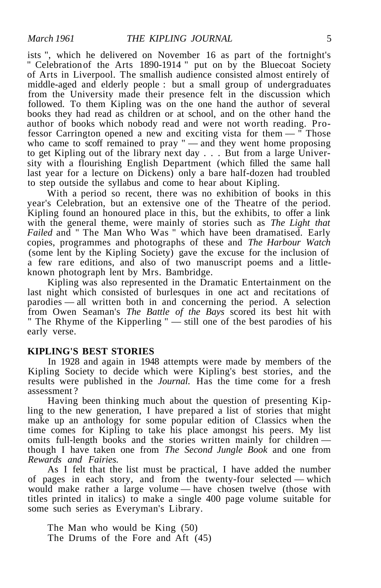ists ", which he delivered on November 16 as part of the fortnight's " Celebration of the Arts 1890-1914 " put on by the Bluecoat Society of Arts in Liverpool. The smallish audience consisted almost entirely of middle-aged and elderly people : but a small group of undergraduates from the University made their presence felt in the discussion which followed. To them Kipling was on the one hand the author of several books they had read as children or at school, and on the other hand the author of books which nobody read and were not worth reading. Professor Carrington opened a new and exciting vista for them — " Those who came to scoff remained to pray " — and they went home proposing to get Kipling out of the library next day . . . But from a large University with a flourishing English Department (which filled the same hall last year for a lecture on Dickens) only a bare half-dozen had troubled to step outside the syllabus and come to hear about Kipling.

With a period so recent, there was no exhibition of books in this year's Celebration, but an extensive one of the Theatre of the period. Kipling found an honoured place in this, but the exhibits, to offer a link with the general theme, were mainly of stories such as *The Light that Failed* and " The Man Who Was " which have been dramatised. Early copies, programmes and photographs of these and *The Harbour Watch* (some lent by the Kipling Society) gave the excuse for the inclusion of a few rare editions, and also of two manuscript poems and a littleknown photograph lent by Mrs. Bambridge.

Kipling was also represented in the Dramatic Entertainment on the last night which consisted of burlesques in one act and recitations of parodies — all written both in and concerning the period. A selection from Owen Seaman's *The Battle of the Bays* scored its best hit with " The Rhyme of the Kipperling " — still one of the best parodies of his early verse.

#### **KIPLING'S BEST STORIES**

In 1928 and again in 1948 attempts were made by members of the Kipling Society to decide which were Kipling's best stories, and the results were published in the *Journal.* Has the time come for a fresh assessment ?

Having been thinking much about the question of presenting Kipling to the new generation, I have prepared a list of stories that might make up an anthology for some popular edition of Classics when the time comes for Kipling to take his place amongst his peers. My list omits full-length books and the stories written mainly for children though I have taken one from *The Second Jungle Book* and one from *Rewards and Fairies.*

As I felt that the list must be practical, I have added the number of pages in each story, and from the twenty-four selected — which would make rather a large volume — have chosen twelve (those with titles printed in italics) to make a single 400 page volume suitable for some such series as Everyman's Library.

The Man who would be King (50) The Drums of the Fore and Aft (45)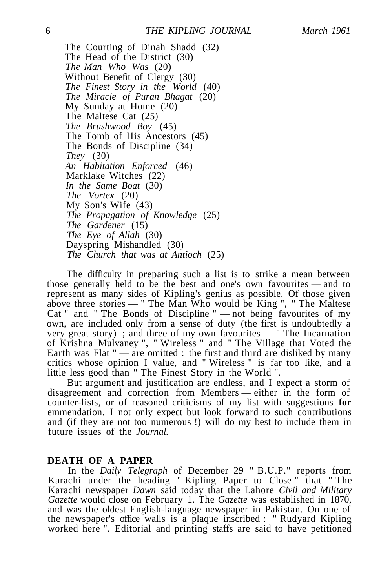The Courting of Dinah Shadd (32) The Head of the District (30) *The Man Who Was* (20) Without Benefit of Clergy (30) *The Finest Story in the World* (40) *The Miracle of Puran Bhagat* (20) My Sunday at Home (20) The Maltese Cat (25) *The Brushwood Boy* (45) The Tomb of His Ancestors (45) The Bonds of Discipline (34) *They* (30) *An Habitation Enforced* (46) Marklake Witches (22) *In the Same Boat* (30) *The Vortex* (20) My Son's Wife (43) *The Propagation of Knowledge* (25) *The Gardener* (15) *The Eye of Allah* (30) Dayspring Mishandled (30) *The Church that was at Antioch* (25)

The difficulty in preparing such a list is to strike a mean between those generally held to be the best and one's own favourites — and to represent as many sides of Kipling's genius as possible. Of those given above three stories — " The Man Who would be King ", " The Maltese Cat " and " The Bonds of Discipline " — not being favourites of my own, are included only from a sense of duty (the first is undoubtedly a very great story) ; and three of my own favourites — " The Incarnation of Krishna Mulvaney ", " Wireless " and " The Village that Voted the Earth was Flat " — are omitted : the first and third are disliked by many critics whose opinion I value, and " Wireless " is far too like, and a little less good than " The Finest Story in the World ".

But argument and justification are endless, and I expect a storm of disagreement and correction from Members — either in the form of counter-lists, or of reasoned criticisms of my list with suggestions **for** emmendation. I not only expect but look forward to such contributions and (if they are not too numerous !) will do my best to include them in future issues of the *Journal.*

### **DEATH OF A PAPER**

In the *Daily Telegraph* of December 29 " B.U.P." reports from Karachi under the heading " Kipling Paper to Close " that " The Karachi newspaper *Dawn* said today that the Lahore *Civil and Military Gazette* would close on February 1. The *Gazette* was established in 1870, and was the oldest English-language newspaper in Pakistan. On one of the newspaper's office walls is a plaque inscribed : " Rudyard Kipling worked here ". Editorial and printing staffs are said to have petitioned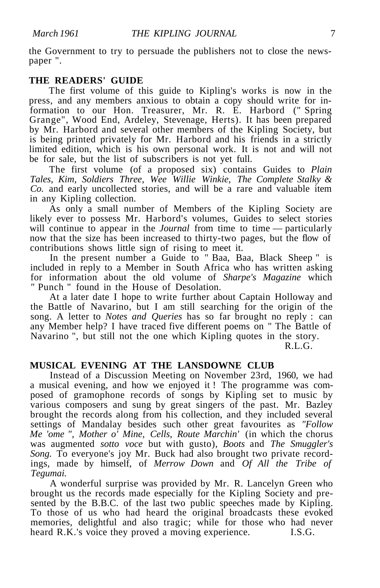the Government to try to persuade the publishers not to close the newspaper ".

### **THE READERS' GUIDE**

The first volume of this guide to Kipling's works is now in the press, and any members anxious to obtain a copy should write for information to our Hon. Treasurer, Mr. R. E. Harbord (" Spring Grange", Wood End, Ardeley, Stevenage, Herts). It has been prepared by Mr. Harbord and several other members of the Kipling Society, but is being printed privately for Mr. Harbord and his friends in a strictly limited edition, which is his own personal work. It is not and will not be for sale, but the list of subscribers is not yet full.

The first volume (of a proposed six) contains Guides to *Plain Tales, Kim, Soldiers Three, Wee Willie Winkie, The Complete Stalky & Co.* and early uncollected stories, and will be a rare and valuable item in any Kipling collection.

As only a small number of Members of the Kipling Society are likely ever to possess Mr. Harbord's volumes, Guides to select stories will continue to appear in the *Journal* from time to time — particularly now that the size has been increased to thirty-two pages, but the flow of contributions shows little sign of rising to meet it.

In the present number a Guide to " Baa, Baa, Black Sheep " is included in reply to a Member in South Africa who has written asking for information about the old volume of *Sharpe's Magazine* which *"* Punch " found in the House of Desolation.

At a later date I hope to write further about Captain Holloway and the Battle of Navarino, but I am still searching for the origin of the song. A letter to *Notes and Queries* has so far brought no reply : can any Member help? I have traced five different poems on " The Battle of Navarino ", but still not the one which Kipling quotes in the story.

R.L.G.

### **MUSICAL EVENING AT THE LANSDOWNE CLUB**

Instead of a Discussion Meeting on November 23rd, 1960, we had a musical evening, and how we enjoyed it ! The programme was composed of gramophone records of songs by Kipling set to music by various composers and sung by great singers of the past. Mr. Bazley brought the records along from his collection, and they included several settings of Mandalay besides such other great favourites as *"Follow Me 'ome ", Mother o' Mine, Cells, Route Marchin'* (in which the chorus was augmented *sotto voce* but with gusto), *Boots* and *The Smuggler's Song.* To everyone's joy Mr. Buck had also brought two private recordings, made by himself, of *Merrow Down* and *Of All the Tribe of Tegumai.*

A wonderful surprise was provided by Mr. R. Lancelyn Green who brought us the records made especially for the Kipling Society and presented by the B.B.C. of the last two public speeches made by Kipling. To those of us who had heard the original broadcasts these evoked memories, delightful and also tragic; while for those who had never heard R.K.'s voice they proved a moving experience. I.S.G.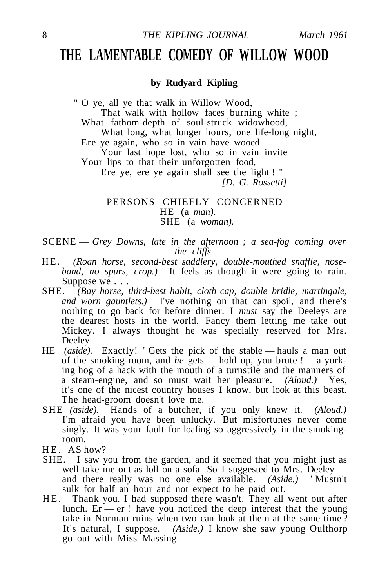### **THE LAMENTABLE COMEDY OF WILLOW WOOD**

### **by Rudyard Kipling**

" O ye, all ye that walk in Willow Wood, That walk with hollow faces burning white ; What fathom-depth of soul-struck widowhood, What long, what longer hours, one life-long night, Ere ye again, who so in vain have wooed Your last hope lost, who so in vain invite Your lips to that their unforgotten food, Ere ye, ere ye again shall see the light ! " *[D. G. Rossetti]* PERSONS CHIEFLY CONCERNED

HE (a *man).* SHE (a *woman).*

SCENE — *Grey Downs, late in the afternoon ; a sea-fog coming over the cliffs.*

- H E. *(Roan horse, second-best saddlery, double-mouthed snaffle, noseband, no spurs, crop.)* It feels as though it were going to rain. Suppose we . . .
- SHE. *(Bay horse, third-best habit, cloth cap, double bridle, martingale, and worn gauntlets.)* I've nothing on that can spoil, and there's nothing to go back for before dinner. I *must* say the Deeleys are the dearest hosts in the world. Fancy them letting me take out Mickey. I always thought he was specially reserved for Mrs. Deeley.
- HE *(aside).* Exactly! 'Gets the pick of the stable hauls a man out of the smoking-room, and *he* gets — hold up, you brute ! —a yorking hog of a hack with the mouth of a turnstile and the manners of a steam-engine, and so must wait her pleasure. *(Aloud.)* Yes, it's one of the nicest country houses I know, but look at this beast. The head-groom doesn't love me.
- SHE *(aside).* Hands of a butcher, if you only knew it. *(Aloud.)* I'm afraid you have been unlucky. But misfortunes never come singly. It was your fault for loafing so aggressively in the smokingroom.
- HE. AS how?
- SHE. I saw you from the garden, and it seemed that you might just as well take me out as loll on a sofa. So I suggested to Mrs. Deeley and there really was no one else available. *(Aside.) '* Mustn't sulk for half an hour and not expect to be paid out.
- HE. Thank you. I had supposed there wasn't. They all went out after lunch.  $Er$  — er ! have you noticed the deep interest that the young take in Norman ruins when two can look at them at the same time ? It's natural, I suppose. *(Aside.)* I know she saw young Oulthorp go out with Miss Massing.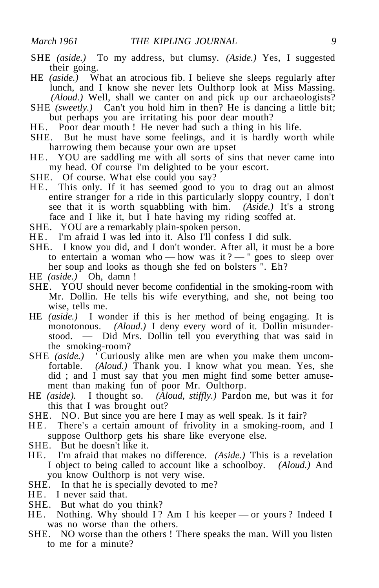- SHE *(aside.)* To my address, but clumsy. *(Aside.)* Yes, I suggested their going.
- HE *(aside.)* What an atrocious fib. I believe she sleeps regularly after lunch, and I know she never lets Oulthorp look at Miss Massing. *(Aloud.)* Well, shall we canter on and pick up our archaeologists?
- SHE *(sweetly.)* Can't you hold him in then? He is dancing a little bit; but perhaps you are irritating his poor dear mouth?
- HE. Poor dear mouth ! He never had such a thing in his life.
- SHE. But he must have some feelings, and it is hardly worth while harrowing them because your own are upset
- HE. YOU are saddling me with all sorts of sins that never came into my head. Of course I'm delighted to be your escort.
- SHE. Of course. What else could you say?
- HE. This only. If it has seemed good to you to drag out an almost entire stranger for a ride in this particularly sloppy country, I don't see that it is worth squabbling with him. *(Aside.)* It's a strong face and I like it, but I hate having my riding scoffed at.
- SHE. YOU are a remarkably plain-spoken person.
- HE. I'm afraid I was led into it. Also I'll confess I did sulk.
- SHE. I know you did, and I don't wonder. After all, it must be a bore to entertain a woman who — how was it ? — " goes to sleep over her soup and looks as though she fed on bolsters ". Eh?
- HE *(aside.)* Oh, damn !
- SHE. YOU should never become confidential in the smoking-room with Mr. Dollin. He tells his wife everything, and she, not being too wise, tells me.
- HE *(aside.)* I wonder if this is her method of being engaging. It is monotonous. *(Aloud.)* I deny every word of it. Dollin misunderstood. — Did Mrs. Dollin tell you everything that was said in the smoking-room?
- SHE (aside.) <sup>'</sup>Curiously alike men are when you make them uncomfortable. *(Aloud.)* Thank you. I know what you mean. Yes, she did ; and I must say that you men might find some better amusement than making fun of poor Mr. Oulthorp.
- HE *(aside).* I thought so. *(Aloud, stiffly.)* Pardon me, but was it for this that I was brought out?
- SHE. NO. But since you are here I may as well speak. Is it fair?
- H E. There's a certain amount of frivolity in a smoking-room, and I suppose Oulthorp gets his share like everyone else.
- SHE. But he doesn't like it.
- H E. I'm afraid that makes no difference. *(Aside.)* This is a revelation I object to being called to account like a schoolboy. *(Aloud.)* And you know Oulthorp is not very wise.
- SHE. In that he is specially devoted to me?
- HE. I never said that.
- SHE. But what do you think?
- HE. Nothing. Why should I? Am I his keeper or yours? Indeed I was no worse than the others.
- SHE. NO worse than the others ! There speaks the man. Will you listen to me for a minute?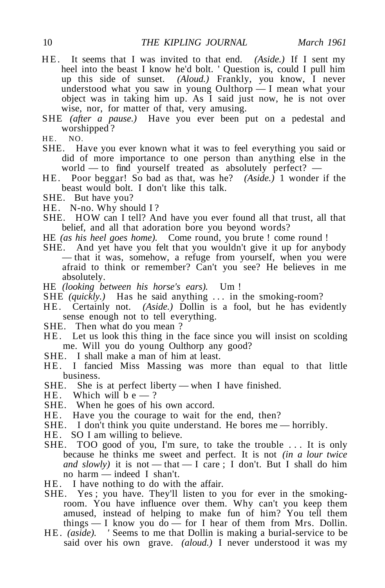- H E. It seems that I was invited to that end. *(Aside.)* If I sent my heel into the beast I know he'd bolt. ' Question is, could I pull him up this side of sunset. *(Aloud.)* Frankly, you know, I never understood what you saw in young Oulthorp — I mean what your object was in taking him up. As I said just now, he is not over wise, nor, for matter of that, very amusing.
- SHE *(after a pause.)* Have you ever been put on a pedestal and worshipped ?
- HE. NO.
- SHE. Have you ever known what it was to feel everything you said or did of more importance to one person than anything else in the world — to find yourself treated as absolutely perfect? —
- H E. Poor beggar! So bad as that, was he? *(Aside.)* 1 wonder if the beast would bolt. I don't like this talk.
- SHE. But have you?
- HE. N-no. Why should I?
- SHE. HOW can I tell? And have you ever found all that trust, all that belief, and all that adoration bore you beyond words?
- HE *(as his heel goes home).* Come round, you brute ! come round !
- SHE. And yet have you felt that you wouldn't give it up for anybody — that it was, somehow, a refuge from yourself, when you were afraid to think or remember? Can't you see? He believes in me absolutely.
- HE *(looking between his horse's ears).* Um !
- SHE (quickly.) Has he said anything ... in the smoking-room?
- HE. Certainly not. (Aside.) Dollin is a fool, but he has evidently sense enough not to tell everything.
- SHE. Then what do you mean ?
- HE. Let us look this thing in the face since you will insist on scolding me. Will you do young Oulthorp any good?
- SHE. I shall make a man of him at least.
- H E. I fancied Miss Massing was more than equal to that little business.
- SHE. She is at perfect liberty when I have finished.<br>HE. Which will be ?
- Which will be  $-$  ?
- SHE. When he goes of his own accord.
- HE. Have you the courage to wait for the end, then?
- SHE. I don't think you quite understand. He bores me horribly.
- HE. SO I am willing to believe.
- SHE. TOO good of you, I'm sure, to take the trouble .. . It is only because he thinks me sweet and perfect. It is not *(in a lour twice and slowly*) it is not — that — I care; I don't. But I shall do him no harm — indeed I shan't.
- HE. I have nothing to do with the affair.
- SHE. Yes ; you have. They'll listen to you for ever in the smokingroom. You have influence over them. Why can't you keep them amused, instead of helping to make fun of him? You tell them things  $- I$  know you do  $-$  for I hear of them from Mrs. Dollin.
- HE. *(aside).* 'Seems to me that Dollin is making a burial-service to be said over his own grave. *(aloud.)* I never understood it was my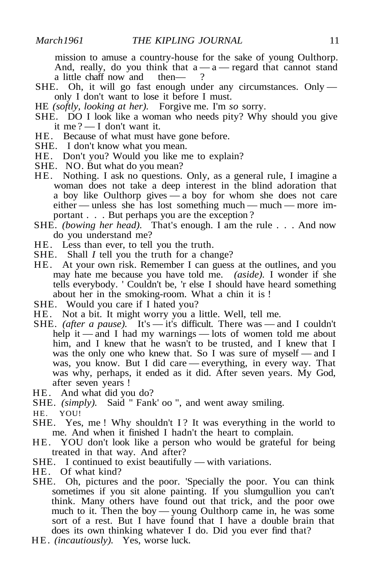mission to amuse a country-house for the sake of young Oulthorp. And, really, do you think that  $a - a -$  regard that cannot stand a little chaff now and thena little chaff now and

- SHE. Oh, it will go fast enough under any circumstances. Only only I don't want to lose it before I must.
- HE *(softly, looking at her).* Forgive me. I'm *so* sorry.
- SHE. DO I look like a woman who needs pity? Why should you give it me ? — I don't want it.
- HE. Because of what must have gone before.
- SHE. I don't know what you mean.
- HE. Don't you? Would you like me to explain?
- SHE. NO. But what do you mean?
- HE. Nothing. I ask no questions. Only, as a general rule, I imagine a woman does not take a deep interest in the blind adoration that a boy like Oulthorp gives — a boy for whom she does not care either — unless she has lost something much — much — more important . . . But perhaps you are the exception ?
- SHE. *(bowing her head).* That's enough. I am the rule . . . And now do you understand me?
- HE. Less than ever, to tell you the truth.
- SHE. Shall *I* tell you the truth for a change?
- HE. At your own risk. Remember I can guess at the outlines, and you may hate me because you have told me. *(aside).* I wonder if she tells everybody. ' Couldn't be, 'r else I should have heard something about her in the smoking-room. What a chin it is !
- SHE. Would you care if I hated you?
- HE. Not a bit. It might worry you a little. Well, tell me.
- SHE. *(after a pause).* It's it's difficult. There was and I couldn't help it — and I had my warnings — lots of women told me about him, and I knew that he wasn't to be trusted, and I knew that I was the only one who knew that. So I was sure of myself — and I was, you know. But I did care — everything, in every way. That was why, perhaps, it ended as it did. After seven years. My God, after seven years !
- HE. And what did you do?
- SHE. *(simply)*. Said " Fank' oo ", and went away smiling.
- HE. YOU!
- SHE. Yes, me ! Why shouldn't I? It was everything in the world to me. And when it finished I hadn't the heart to complain.
- HE. YOU don't look like a person who would be grateful for being treated in that way. And after?
- SHE. I continued to exist beautifully with variations.
- HE. Of what kind?
- SHE. Oh, pictures and the poor. 'Specially the poor. You can think sometimes if you sit alone painting. If you slumgullion you can't think. Many others have found out that trick, and the poor owe much to it. Then the boy — young Oulthorp came in, he was some sort of a rest. But I have found that I have a double brain that does its own thinking whatever I do. Did you ever find that?
- HE. *(incautiously).* Yes, worse luck.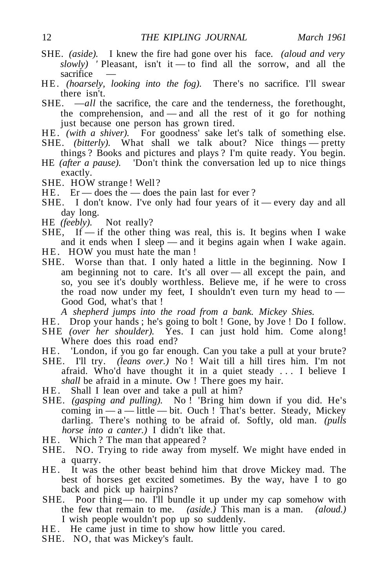- SHE. *(aside).* I knew the fire had gone over his face. *(aloud and very slowly) '* Pleasant, isn't it — to find all the sorrow, and all the sacrifice
- H E. *(hoarsely, looking into the fog).* There's no sacrifice. I'll swear there isn't.
- SHE. —*all* the sacrifice, the care and the tenderness, the forethought, the comprehension, and — and all the rest of it go for nothing just because one person has grown tired.
- HE. (with a shiver). For goodness' sake let's talk of something else.
- SHE. *(bitterly)*. What shall we talk about? Nice things pretty things ? Books and pictures and plays ? I'm quite ready. You begin.
- HE *(after a pause).* 'Don't think the conversation led up to nice things exactly.
- SHE. HOW strange ! Well?
- HE. Er does the does the pain last for ever ?
- SHE. I don't know. I've only had four years of it every day and all day long.
- HE *(feebly).* Not really?
- $SHE$ , If  $-$  if the other thing was real, this is. It begins when I wake and it ends when I sleep — and it begins again when I wake again.
- HE. HOW you must hate the man!
- SHE. Worse than that. I only hated a little in the beginning. Now I am beginning not to care. It's all over — all except the pain, and so, you see it's doubly worthless. Believe me, if he were to cross the road now under my feet, I shouldn't even turn my head to — Good God, what's that !

*A shepherd jumps into the road from a bank. Mickey Shies.*

- HE. Drop your hands; he's going to bolt ! Gone, by Jove ! Do I follow. SHE *(over her shoulder).* Yes. I can just hold him. Come along!
- Where does this road end?
- HE. 'London, if you go far enough. Can you take a pull at your brute?
- SHE. I'll try. *(leans over.)* No! Wait till a hill tires him. I'm not afraid. Who'd have thought it in a quiet steady .. . I believe I *shall* be afraid in a minute. Ow ! There goes my hair.
- HE. Shall I lean over and take a pull at him?
- SHE. *(gasping and pulling).* No ! 'Bring him down if you did. He's coming in  $-a$  — little — bit. Ouch ! That's better. Steady, Mickey darling. There's nothing to be afraid of. Softly, old man. *(pulls horse into a canter.)* I didn't like that.
- HE. Which? The man that appeared?
- SHE. NO. Trying to ride away from myself. We might have ended in a quarry.
- HE. It was the other beast behind him that drove Mickey mad. The best of horses get excited sometimes. By the way, have I to go back and pick up hairpins?
- SHE. Poor thing— no. I'll bundle it up under my cap somehow with the few that remain to me. *(aside.)* This man is a man. *(aloud.)* I wish people wouldn't pop up so suddenly.
- HE. He came just in time to show how little you cared.
- SHE. NO, that was Mickey's fault.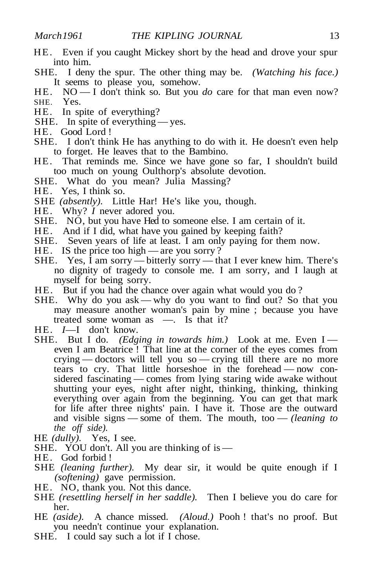- HE. Even if you caught Mickey short by the head and drove your spur into him.
- SHE. I deny the spur. The other thing may be. *(Watching his face.)* It seems to please you, somehow.
- HE. NO I don't think so. But you *do* care for that man even now? SHE. Yes.
- HE. In spite of everything?
- SHE. In spite of everything yes.
- HE. Good Lord !
- SHE. I don't think He has anything to do with it. He doesn't even help to forget. He leaves that to the Bambino.
- HE. That reminds me. Since we have gone so far, I shouldn't build too much on young Oulthorp's absolute devotion.
- SHE. What do you mean? Julia Massing?
- HE. Yes, I think so.
- SHE *(absently).* Little Har! He's like you, though.
- HE. Why? *I* never adored you.
- SHE. NO, but you have Hed to someone else. I am certain of it.
- HE. And if I did, what have you gained by keeping faith?
- SHE. Seven years of life at least. I am only paying for them now.
- HE. IS the price too high are you sorry?
- SHE. Yes, I am sorry bitterly sorry that I ever knew him. There's no dignity of tragedy to console me. I am sorry, and I laugh at myself for being sorry.
- HE. But if you had the chance over again what would you do ?
- SHE. Why do you ask why do you want to find out? So that you may measure another woman's pain by mine ; because you have treated some woman as —. Is that it?
- HE. *I*—I don't know.
- SHE. But I do. *(Edging in towards him.)* Look at me. Even I even I am Beatrice ! That line at the corner of the eyes comes from crying — doctors will tell you so — crying till there are no more tears to cry. That little horseshoe in the forehead — now considered fascinating — comes from lying staring wide awake without shutting your eyes, night after night, thinking, thinking, thinking everything over again from the beginning. You can get that mark for life after three nights' pain. I have it. Those are the outward and visible signs — some of them. The mouth, too — *(leaning to the off side).*
- HE *(dully).* Yes, I see.
- SHE. YOU don't. All you are thinking of is —
- HE. God forbid !
- SHE *(leaning further).* My dear sir, it would be quite enough if I *(softening)* gave permission.
- HE. NO, thank you. Not this dance.
- SHE *(resettling herself in her saddle).* Then I believe you do care for her.
- HE *(aside).* A chance missed. *(Aloud.)* Pooh ! that's no proof. But you needn't continue your explanation.
- SHE. I could say such a lot if I chose.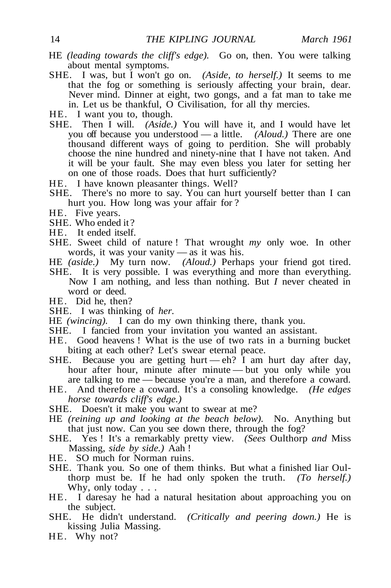- HE *(leading towards the cliff's edge).* Go on, then. You were talking about mental symptoms.
- SHE. I was, but I won't go on. *(Aside, to herself.)* It seems to me that the fog or something is seriously affecting your brain, dear. Never mind. Dinner at eight, two gongs, and a fat man to take me in. Let us be thankful, O Civilisation, for all thy mercies.
- HE. I want you to, though.
- SHE. Then I will. *(Aside.)* You will have it, and I would have let you off because you understood — a little. *(Aloud.)* There are one thousand different ways of going to perdition. She will probably choose the nine hundred and ninety-nine that I have not taken. And it will be your fault. She may even bless you later for setting her on one of those roads. Does that hurt sufficiently?
- HE. I have known pleasanter things. Well?
- SHE. There's no more to say. You can hurt yourself better than I can hurt you. How long was your affair for ?
- HE. Five years.
- SHE. Who ended it ?
- HE. It ended itself.
- SHE. Sweet child of nature ! That wrought *my* only woe. In other words, it was your vanity — as it was his.
- HE *(aside.)* My turn now. *(Aloud.)* Perhaps your friend got tired.
- SHE. It is very possible. I was everything and more than everything. Now I am nothing, and less than nothing. But *I* never cheated in word or deed.
- HE. Did he, then?
- SHE. I was thinking of *her.*
- HE *(wincing).* I can do my own thinking there, thank you.
- SHE. I fancied from your invitation you wanted an assistant.
- HE. Good heavens ! What is the use of two rats in a burning bucket biting at each other? Let's swear eternal peace.
- SHE. Because you are getting hurt eh? I am hurt day after day, hour after hour, minute after minute — but you only while you are talking to me — because you're a man, and therefore a coward.
- HE. And therefore a coward. It's a consoling knowledge. *(He edges horse towards cliff's edge.)*
- SHE. Doesn't it make you want to swear at me?
- HE *(reining up and looking at the beach below).* No. Anything but that just now. Can you see down there, through the fog?
- SHE. Yes ! It's a remarkably pretty view. *(Sees* Oulthorp *and* Miss Massing, *side by side.)* Aah !
- HE. SO much for Norman ruins.
- SHE. Thank you. So one of them thinks. But what a finished liar Oulthorp must be. If he had only spoken the truth. *(To herself.)* Why, only today . . .
- HE. I daresay he had a natural hesitation about approaching you on the subject.
- SHE. He didn't understand. *(Critically and peering down.)* He is kissing Julia Massing.
- HE. Why not?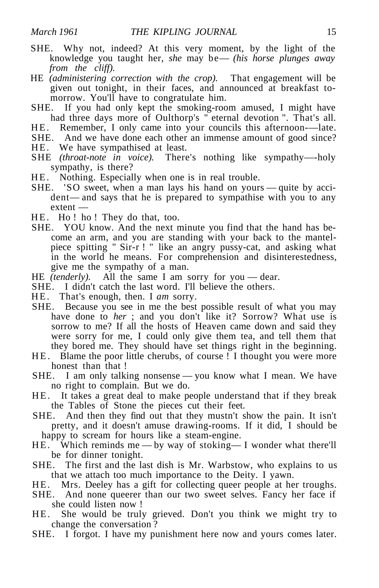- SHE. Why not, indeed? At this very moment, by the light of the knowledge you taught her, *she* may be— *(his horse plunges away from the cliff).*
- HE *(administering correction with the crop).* That engagement will be given out tonight, in their faces, and announced at breakfast tomorrow. You'll have to congratulate him.
- SHE. If you had only kept the smoking-room amused, I might have had three days more of Oulthorp's " eternal devotion ". That's all.
- HE. Remember, I only came into your councils this afternoon----late.
- SHE. And we have done each other an immense amount of good since?
- HE. We have sympathised at least.
- SHE *(throat-note in voice).* There's nothing like sympathy—-holy sympathy, is there?
- HE. Nothing. Especially when one is in real trouble.
- SHE. 'SO sweet, when a man lays his hand on yours quite by accident— and says that he is prepared to sympathise with you to any extent —
- HE. Ho! ho! They do that, too.
- SHE. YOU know. And the next minute you find that the hand has become an arm, and you are standing with your back to the mantelpiece spitting " Sir-r ! " like an angry pussy-cat, and asking what in the world he means. For comprehension and disinterestedness, give me the sympathy of a man.
- HE *(tenderly)*. All the same I am sorry for you dear.
- SHE. I didn't catch the last word. I'll believe the others.
- HE. That's enough, then. I am sorry.
- SHE. Because you see in me the best possible result of what you may have done to *her* ; and you don't like it? Sorrow? What use is sorrow to me? If all the hosts of Heaven came down and said they were sorry for me, I could only give them tea, and tell them that they bored me. They should have set things right in the beginning.
- HE. Blame the poor little cherubs, of course ! I thought you were more honest than that!
- SHE. I am only talking nonsense you know what I mean. We have no right to complain. But we do.
- HE. It takes a great deal to make people understand that if they break the Tables of Stone the pieces cut their feet.
- SHE. And then they find out that they mustn't show the pain. It isn't pretty, and it doesn't amuse drawing-rooms. If it did, I should be happy to scream for hours like a steam-engine.
- HE. Which reminds me by way of stoking— I wonder what there'll be for dinner tonight.
- SHE. The first and the last dish is Mr. Warbstow, who explains to us that we attach too much importance to the Deity. I yawn.
- HE. Mrs. Deeley has a gift for collecting queer people at her troughs.
- SHE. And none queerer than our two sweet selves. Fancy her face if she could listen now !
- HE. She would be truly grieved. Don't you think we might try to change the conversation ?
- SHE. I forgot. I have my punishment here now and yours comes later.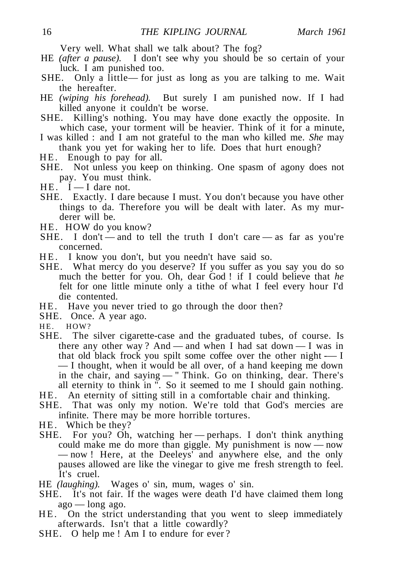Very well. What shall we talk about? The fog?

- HE *(after a pause).* I don't see why you should be so certain of your luck. I am punished too.
- SHE. Only a little— for just as long as you are talking to me. Wait the hereafter.
- HE *(wiping his forehead).* But surely I am punished now. If I had killed anyone it couldn't be worse.
- SHE. Killing's nothing. You may have done exactly the opposite. In which case, your torment will be heavier. Think of it for a minute,
- I was killed : and I am not grateful to the man who killed me. *She* may thank you yet for waking her to life. Does that hurt enough?
- HE. Enough to pay for all.
- SHE. Not unless you keep on thinking. One spasm of agony does not pay. You must think.
- $HE.$   $\dot{I}$  I dare not.
- SHE. Exactly. I dare because I must. You don't because you have other things to da. Therefore you will be dealt with later. As my murderer will be.
- HE. HOW do you know?
- SHE. I don't and to tell the truth I don't care as far as you're concerned.
- HE. I know you don't, but you needn't have said so.
- SHE. What mercy do you deserve? If you suffer as you say you do so much the better for you. Oh, dear God ! if I could believe that *he* felt for one little minute only a tithe of what I feel every hour I'd die contented.
- HE. Have you never tried to go through the door then?
- SHE. Once. A year ago.
- HE. HOW?
- SHE. The silver cigarette-case and the graduated tubes, of course. Is there any other way? And — and when I had sat down — I was in that old black frock you spilt some coffee over the other night -— I — I thought, when it would be all over, of a hand keeping me down in the chair, and saying — " Think. Go on thinking, dear. There's all eternity to think in ". So it seemed to me I should gain nothing.
- HE. An eternity of sitting still in a comfortable chair and thinking.
- SHE. That was only my notion. We're told that God's mercies are infinite. There may be more horrible tortures.
- HE. Which be they?
- SHE. For you? Oh, watching her perhaps. I don't think anything could make me do more than giggle. My punishment is now — now — now ! Here, at the Deeleys' and anywhere else, and the only pauses allowed are like the vinegar to give me fresh strength to feel. It's cruel.
- HE *(laughing).* Wages o' sin, mum, wages o' sin.
- SHE. It's not fair. If the wages were death I'd have claimed them long  $ago - long ago$ .
- H E. On the strict understanding that you went to sleep immediately afterwards. Isn't that a little cowardly?
- SHE. O help me ! Am I to endure for ever?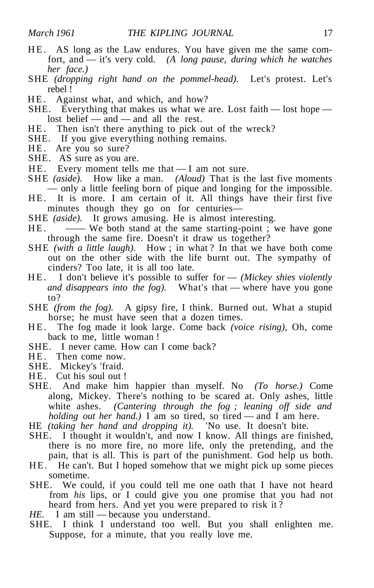- HE. AS long as the Law endures. You have given me the same comfort, and — it's very cold. *(A long pause, during which he watches her face.)*
- SHE *(dropping right hand on the pommel-head).* Let's protest. Let's rebel !
- HE. Against what, and which, and how?
- SHE. Everything that makes us what we are. Lost faith  $-$  lost hope  $$ lost belief — and — and all the rest.
- HE. Then isn't there anything to pick out of the wreck?
- SHE. If you give everything nothing remains.
- HE. Are you so sure?
- SHE. AS sure as you are.
- $HE.$  Every moment tells me that  $I$  am not sure.
- SHE *(aside).* How like a man. *(Aloud)* That is the last five moments — only a little feeling born of pique and longing for the impossible.
- HE. It is more. I am certain of it. All things have their first five minutes though they go on for centuries—
- SHE *(aside).* It grows amusing. He is almost interesting.
- HE. —— We both stand at the same starting-point; we have gone through the same fire. Doesn't it draw us together?
- SHE *(with a little laugh)*. How ; in what ? In that we have both come out on the other side with the life burnt out. The sympathy of cinders? Too late, it is all too late.
- HE. I don't believe it's possible to suffer for *(Mickey shies violently and disappears into the fog).* What's that — where have you gone to?
- SHE *(from the fog).* A gipsy fire, I think. Burned out. What a stupid horse; he must have seen that a dozen times.
- H E. The fog made it look large. Come back *(voice rising),* Oh, come back to me, little woman !
- SHE. I never came. How can I come back?
- HE. Then come now.
- SHE. Mickey's 'fraid.
- HE. Cut his soul out !
- SHE. And make him happier than myself. No *(To horse.)* Come along, Mickey. There's nothing to be scared at. Only ashes, little white ashes. *(Cantering through the fog ; leaning off side and holding out her hand.*) I am so tired, so tired — and I am here.
- HE *(taking her hand and dropping it).* 'No use. It doesn't bite.
- SHE. I thought it wouldn't, and now I know. All things are finished, there is no more fire, no more life, only the pretending, and the pain, that is all. This is part of the punishment. God help us both.
- HE. He can't. But I hoped somehow that we might pick up some pieces sometime.
- SHE. We could, if you could tell me one oath that I have not heard from *his* lips, or I could give you one promise that you had not heard from hers. And yet you were prepared to risk it ?
- *HE.* I am still because you understand.
- SHE. I think I understand too well. But you shall enlighten me. Suppose, for a minute, that you really love me.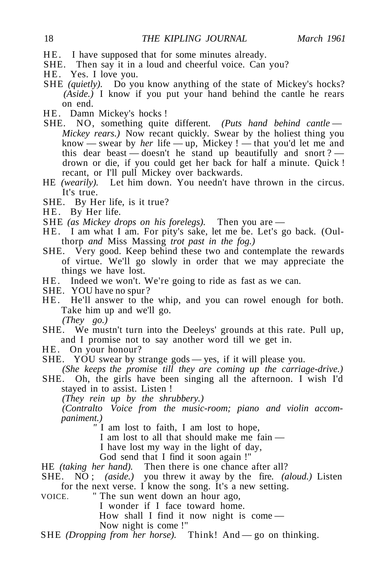- HE. I have supposed that for some minutes already.
- SHE. Then say it in a loud and cheerful voice. Can you?
- HE. Yes. I love you.
- SHE *(quietly)*. Do you know anything of the state of Mickey's hocks? *(Aside.)* I know if you put your hand behind the cantle he rears on end.
- HE. Damn Mickey's hocks !
- SHE. NO, something quite different. *(Puts hand behind cantle Mickey rears.*) Now recant quickly. Swear by the holiest thing you know — swear by *her* life — up, Mickey ! — that you'd let me and this dear beast — doesn't he stand up beautifully and snort ? drown or die, if you could get her back for half a minute. Quick ! recant, or I'll pull Mickey over backwards.
- HE *(wearily).* Let him down. You needn't have thrown in the circus. It's true.
- SHE. By Her life, is it true?
- HE. By Her life.
- SHE *(as Mickey drops on his forelegs).* Then you are —
- HE. I am what I am. For pity's sake, let me be. Let's go back. (Oulthorp *and* Miss Massing *trot past in the fog.)*
- SHE. Very good. Keep behind these two and contemplate the rewards of virtue. We'll go slowly in order that we may appreciate the things we have lost.
- HE. Indeed we won't. We're going to ride as fast as we can.
- SHE. YOU have no spur ?
- HE. He'll answer to the whip, and you can rowel enough for both. Take him up and we'll go.

*(They go.)*

- SHE. We mustn't turn into the Deeleys' grounds at this rate. Pull up, and I promise not to say another word till we get in.
- HE. On your honour?
- SHE. YOU swear by strange gods yes, if it will please you.

*(She keeps the promise till they are coming up the carriage-drive.)*

SHE. Oh, the girls have been singing all the afternoon. I wish I'd stayed in to assist. Listen !

*(They rein up by the shrubbery.)*

*(Contralto Voice from the music-room; piano and violin accompaniment.)*

*"* I am lost to faith, I am lost to hope,

I am lost to all that should make me fain —

I have lost my way in the light of day,

God send that I find it soon again !"

HE *(taking her hand).* Then there is one chance after all?

SHE. NO ; *(aside.)* you threw it away by the fire. *(aloud.)* Listen for the next verse. I know the song. It's a new setting.

VOICE. " The sun went down an hour ago,

I wonder if I face toward home.

How shall I find it now night is come —

Now night is come !"

SHE *(Dropping from her horse)*. Think! And — go on thinking.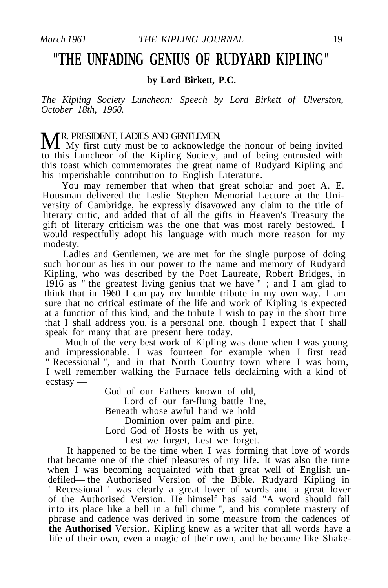### **"THE UNFADING GENIUS OF RUDYARD KIPLING"**

**by Lord Birkett, P.C.**

*The Kipling Society Luncheon: Speech by Lord Birkett of Ulverston, October 18th, 1960.*

**MR.** PRESIDENT, LADIES AND GENTLEMEN,<br>My first duty must be to acknowledge the honour of being invited<br>And in the Minimum Section of the content of the idea to this Luncheon of the Kipling Society, and of being entrusted with this toast which commemorates the great name of Rudyard Kipling and his imperishable contribution to English Literature.

You may remember that when that great scholar and poet A. E. Housman delivered the Leslie Stephen Memorial Lecture at the University of Cambridge, he expressly disavowed any claim to the title of literary critic, and added that of all the gifts in Heaven's Treasury the gift of literary criticism was the one that was most rarely bestowed. I would respectfully adopt his language with much more reason for my modesty.

Ladies and Gentlemen, we are met for the single purpose of doing such honour as lies in our power to the name and memory of Rudyard Kipling, who was described by the Poet Laureate, Robert Bridges, in 1916 as " the greatest living genius that we have " ; and I am glad to think that in 1960 I can pay my humble tribute in my own way. I am sure that no critical estimate of the life and work of Kipling is expected at a function of this kind, and the tribute I wish to pay in the short time that I shall address you, is a personal one, though I expect that I shall speak for many that are present here today.

Much of the very best work of Kipling was done when I was young and impressionable. I was fourteen for example when I first read " Recessional ", and in that North Country town where I was born, I well remember walking the Furnace fells declaiming with a kind of ecstasy —

> God of our Fathers known of old, Lord of our far-flung battle line, Beneath whose awful hand we hold Dominion over palm and pine, Lord God of Hosts be with us yet, Lest we forget, Lest we forget.

It happened to be the time when I was forming that love of words that became one of the chief pleasures of my life. It was also the time when I was becoming acquainted with that great well of English undefiled— the Authorised Version of the Bible. Rudyard Kipling in " Recessional " was clearly a great lover of words and a great lover of the Authorised Version. He himself has said "A word should fall into its place like a bell in a full chime ", and his complete mastery of phrase and cadence was derived in some measure from the cadences of **the Authorised** Version. Kipling knew as a writer that all words have a life of their own, even a magic of their own, and he became like Shake-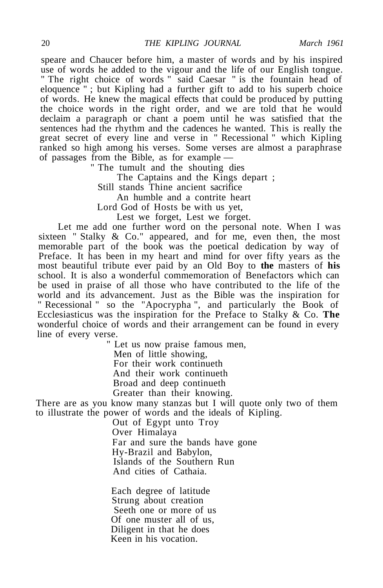speare and Chaucer before him, a master of words and by his inspired use of words he added to the vigour and the life of our English tongue. " The right choice of words " said Caesar " is the fountain head of eloquence " ; but Kipling had a further gift to add to his superb choice of words. He knew the magical effects that could be produced by putting the choice words in the right order, and we are told that he would declaim a paragraph or chant a poem until he was satisfied that the sentences had the rhythm and the cadences he wanted. This is really the great secret of every line and verse in " Recessional " which Kipling ranked so high among his verses. Some verses are almost a paraphrase of passages from the Bible, as for example —

" The tumult and the shouting dies

The Captains and the Kings depart ;

Still stands Thine ancient sacrifice

An humble and a contrite heart

Lord God of Hosts be with us yet,

Lest we forget, Lest we forget.

Let me add one further word on the personal note. When I was sixteen " Stalky & Co." appeared, and for me, even then, the most memorable part of the book was the poetical dedication by way of Preface. It has been in my heart and mind for over fifty years as the most beautiful tribute ever paid by an Old Boy to **the** masters of **his** school. It is also a wonderful commemoration of Benefactors which can be used in praise of all those who have contributed to the life of the world and its advancement. Just as the Bible was the inspiration for " Recessional " so the "Apocrypha ", and particularly the Book of Ecclesiasticus was the inspiration for the Preface to Stalky & Co. **The** wonderful choice of words and their arrangement can be found in every line of every verse.

> " Let us now praise famous men, Men of little showing, For their work continueth And their work continueth Broad and deep continueth Greater than their knowing.

There are as you know many stanzas but I will quote only two of them to illustrate the power of words and the ideals of Kipling.

> Out of Egypt unto Troy Over Himalaya Far and sure the bands have gone Hy-Brazil and Babylon, Islands of the Southern Run And cities of Cathaia.

Each degree of latitude Strung about creation Seeth one or more of us Of one muster all of us, Diligent in that he does Keen in his vocation.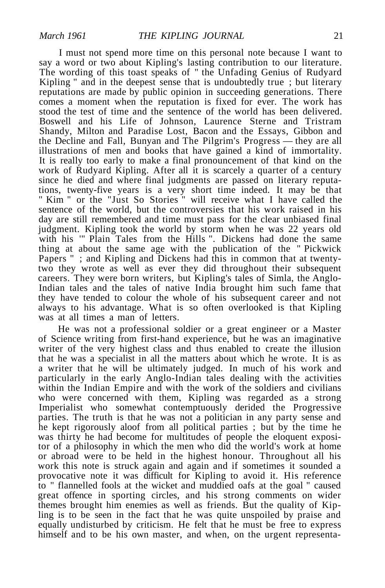I must not spend more time on this personal note because I want to say a word or two about Kipling's lasting contribution to our literature. The wording of this toast speaks of " the Unfading Genius of Rudyard Kipling " and in the deepest sense that is undoubtedly true ; but literary reputations are made by public opinion in succeeding generations. There comes a moment when the reputation is fixed for ever. The work has stood the test of time and the sentence of the world has been delivered. Boswell and his Life of Johnson, Laurence Sterne and Tristram Shandy, Milton and Paradise Lost, Bacon and the Essays, Gibbon and the Decline and Fall, Bunyan and The Pilgrim's Progress — they are all illustrations of men and books that have gained a kind of immortality. It is really too early to make a final pronouncement of that kind on the work of Rudyard Kipling. After all it is scarcely a quarter of a century since he died and where final judgments are passed on literary reputations, twenty-five years is a very short time indeed. It may be that " Kim " or the "Just So Stories " will receive what I have called the sentence of the world, but the controversies that his work raised in his day are still remembered and time must pass for the clear unbiased final judgment. Kipling took the world by storm when he was 22 years old with his "" Plain Tales from the Hills ". Dickens had done the same thing at about the same age with the publication of the " Pickwick Papers "; and Kipling and Dickens had this in common that at twentytwo they wrote as well as ever they did throughout their subsequent careers. They were born writers, but Kipling's tales of Simla, the Anglo-Indian tales and the tales of native India brought him such fame that they have tended to colour the whole of his subsequent career and not always to his advantage. What is so often overlooked is that Kipling was at all times a man of letters.

He was not a professional soldier or a great engineer or a Master of Science writing from first-hand experience, but he was an imaginative writer of the very highest class and thus enabled to create the illusion that he was a specialist in all the matters about which he wrote. It is as a writer that he will be ultimately judged. In much of his work and particularly in the early Anglo-Indian tales dealing with the activities within the Indian Empire and with the work of the soldiers and civilians who were concerned with them, Kipling was regarded as a strong Imperialist who somewhat contemptuously derided the Progressive parties. The truth is that he was not a politician in any party sense and he kept rigorously aloof from all political parties ; but by the time he was thirty he had become for multitudes of people the eloquent expositor of a philosophy in which the men who did the world's work at home or abroad were to be held in the highest honour. Throughout all his work this note is struck again and again and if sometimes it sounded a provocative note it was difficult for Kipling to avoid it. His reference to " flannelled fools at the wicket and muddied oafs at the goal " caused great offence in sporting circles, and his strong comments on wider themes brought him enemies as well as friends. But the quality of Kipling is to be seen in the fact that he was quite unspoiled by praise and equally undisturbed by criticism. He felt that he must be free to express himself and to be his own master, and when, on the urgent representa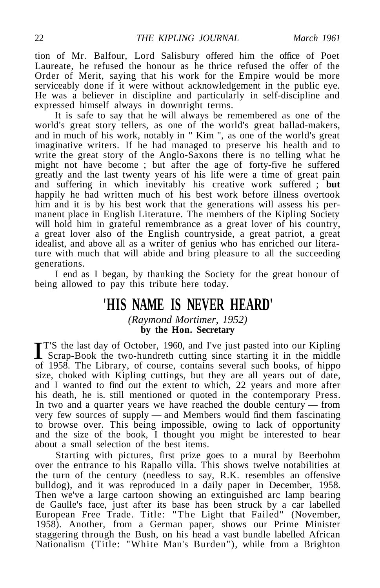tion of Mr. Balfour, Lord Salisbury offered him the office of Poet Laureate, he refused the honour as he thrice refused the offer of the Order of Merit, saying that his work for the Empire would be more serviceably done if it were without acknowledgement in the public eye. He was a believer in discipline and particularly in self-discipline and expressed himself always in downright terms.

It is safe to say that he will always be remembered as one of the world's great story tellers, as one of the world's great ballad-makers, and in much of his work, notably in " Kim ", as one of the world's great imaginative writers. If he had managed to preserve his health and to write the great story of the Anglo-Saxons there is no telling what he might not have become ; but after the age of forty-five he suffered greatly and the last twenty years of his life were a time of great pain and suffering in which inevitably his creative work suffered ; **but** happily he had written much of his best work before illness overtook him and it is by his best work that the generations will assess his permanent place in English Literature. The members of the Kipling Society will hold him in grateful remembrance as a great lover of his country, a great lover also of the English countryside, a great patriot, a great idealist, and above all as a writer of genius who has enriched our literature with much that will abide and bring pleasure to all the succeeding generations.

I end as I began, by thanking the Society for the great honour of being allowed to pay this tribute here today.

### **'HIS NAME IS NEVER HEARD'**

*(Raymond Mortimer, 1952)* **by the Hon. Secretary**

**IT'S** the last day of October, 1960, and I've just pasted into our Kipling<br>Scrap-Book the two-hundreth cutting since starting it in the middle<br>of 1958. The Library of course, contains sourcel such books, of binne T'S the last day of October, 1960, and I've just pasted into our Kipling of 1958. The Library, of course, contains several such books, of hippo size, choked with Kipling cuttings, but they are all years out of date, and I wanted to find out the extent to which, 22 years and more after his death, he is. still mentioned or quoted in the contemporary Press. In two and a quarter years we have reached the double century — from very few sources of supply — and Members would find them fascinating to browse over. This being impossible, owing to lack of opportunity and the size of the book, I thought you might be interested to hear about a small selection of the best items.

Starting with pictures, first prize goes to a mural by Beerbohm over the entrance to his Rapallo villa. This shows twelve notabilities at the turn of the century (needless to say, R.K. resembles an offensive bulldog), and it was reproduced in a daily paper in December, 1958. Then we've a large cartoon showing an extinguished arc lamp bearing de Gaulle's face, just after its base has been struck by a car labelled European Free Trade. Title: "The Light that Failed" (November, 1958). Another, from a German paper, shows our Prime Minister staggering through the Bush, on his head a vast bundle labelled African Nationalism (Title: "White Man's Burden"), while from a Brighton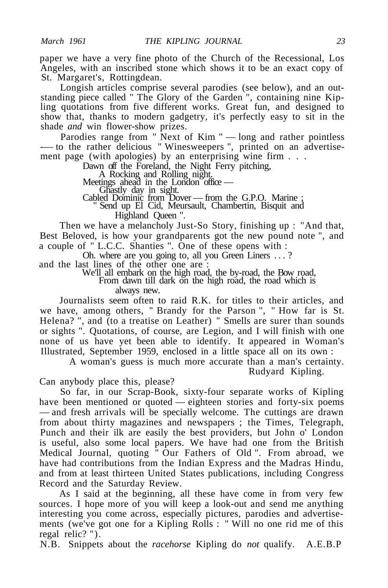paper we have a very fine photo of the Church of the Recessional, Los Angeles, with an inscribed stone which shows it to be an exact copy of St. Margaret's, Rottingdean.

Longish articles comprise several parodies (see below), and an outstanding piece called " The Glory of the Garden ", containing nine Kipling quotations from five different works. Great fun, and designed to show that, thanks to modern gadgetry, it's perfectly easy to sit in the shade *and* win flower-show prizes.

Parodies range from " Next of Kim " — long and rather pointless -— to the rather delicious " Winesweepers ", printed on an advertisement page (with apologies) by an enterprising wine firm . . .

Dawn off the Foreland, the Night Ferry pitching,

A Rocking and Rolling night.

Meetings ahead in the London office —

Ghastly day in sight.

Cabled Dominic from Dover — from the G.P.O. Marine ;

" Send up El Cid, Meursault, Chambertin, Bisquit and Highland Queen ".

Then we have a melancholy Just-So Story, finishing up : "And that, Best Beloved, is how your grandparents got the new pound note ", and a couple of " L.C.C. Shanties ". One of these opens with :

Oh. where are you going to, all you Green Liners .. . ?

and the last lines of the other one are :

We'll all embark on the high road, the by-road, the Bow road,

From dawn till dark on the high road, the road which is always new.

Journalists seem often to raid R.K. for titles to their articles, and we have, among others, " Brandy for the Parson ", " How far is St. Helena? ", and (to a treatise on Leather) " Smells are surer than sounds or sights ". Quotations, of course, are Legion, and I will finish with one none of us have yet been able to identify. It appeared in Woman's Illustrated, September 1959, enclosed in a little space all on its own :

A woman's guess is much more accurate than a man's certainty. Rudyard Kipling.

Can anybody place this, please?

So far, in our Scrap-Book, sixty-four separate works of Kipling have been mentioned or quoted — eighteen stories and forty-six poems — and fresh arrivals will be specially welcome. The cuttings are drawn from about thirty magazines and newspapers ; the Times, Telegraph, Punch and their ilk are easily the best providers, but John o' London is useful, also some local papers. We have had one from the British Medical Journal, quoting " Our Fathers of Old ". From abroad, we have had contributions from the Indian Express and the Madras Hindu, and from at least thirteen United States publications, including Congress Record and the Saturday Review.

As I said at the beginning, all these have come in from very few sources. I hope more of you will keep a look-out and send me anything interesting you come across, especially pictures, parodies and advertisements (we've got one for a Kipling Rolls : " Will no one rid me of this regal relic? ").

N.B. Snippets about the *racehorse* Kipling do *not* qualify. A.E.B.P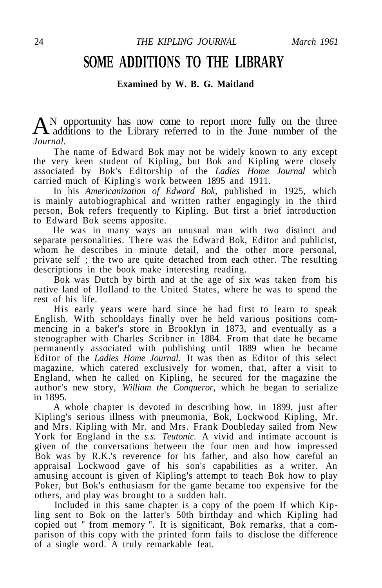### **SOME ADDITIONS TO THE LIBRARY**

### **Examined by W. B. G. Maitland**

A N opportunity has now come to report more fully on the three additions to the Library referred to in the June number of the **A** additions to the Library referred to in the June number of the *Journal.*

The name of Edward Bok may not be widely known to any except the very keen student of Kipling, but Bok and Kipling were closely associated by Bok's Editorship of the *Ladies Home Journal* which carried much of Kipling's work between 1895 and 1911.

In his *Americanization of Edward Bok,* published in 1925, which is mainly autobiographical and written rather engagingly in the third person, Bok refers frequently to Kipling. But first a brief introduction to Edward Bok seems apposite.

He was in many ways an unusual man with two distinct and separate personalities. There was the Edward Bok, Editor and publicist, whom he describes in minute detail, and the other more personal, private self ; the two are quite detached from each other. The resulting descriptions in the book make interesting reading.

Bok was Dutch by birth and at the age of six was taken from his native land of Holland to the United States, where he was to spend the rest of his life.

His early years were hard since he had first to learn to speak English. With schooldays finally over he held various positions commencing in a baker's store in Brooklyn in 1873, and eventually as a stenographer with Charles Scribner in 1884. From that date he became permanently associated with publishing until 1889 when he became Editor of the *Ladies Home Journal.* It was then as Editor of this select magazine, which catered exclusively for women, that, after a visit to England, when he called on Kipling, he secured for the magazine the author's new story, *William the Conqueror,* which he began to serialize in 1895.

A whole chapter is devoted in describing how, in 1899, just after Kipling's serious illness with pneumonia, Bok, Lockwood Kipling, Mr. and Mrs. Kipling with Mr. and Mrs. Frank Doubleday sailed from New York for England in the *s.s. Teutonic.* A vivid and intimate account is given of the conversations between the four men and how impressed Bok was by R.K.'s reverence for his father, and also how careful an appraisal Lockwood gave of his son's capabilities as a writer. An amusing account is given of Kipling's attempt to teach Bok how to play Poker, but Bok's enthusiasm for the game became too expensive for the others, and play was brought to a sudden halt.

Included in this same chapter is a copy of the poem If which Kipling sent to Bok on the latter's 50th birthday and which Kipling had copied out " from memory ". It is significant, Bok remarks, that a comparison of this copy with the printed form fails to disclose the difference of a single word. A truly remarkable feat.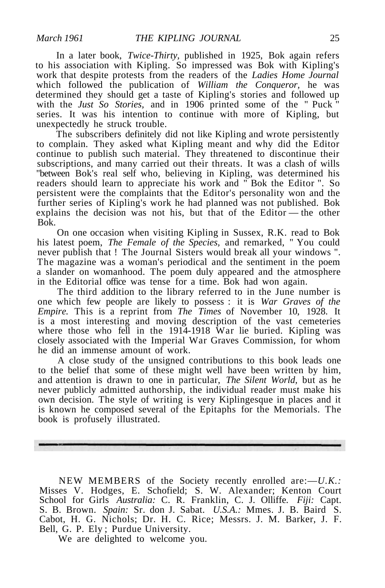In a later book, *Twice-Thirty,* published in 1925, Bok again refers to his association with Kipling. So impressed was Bok with Kipling's work that despite protests from the readers of the *Ladies Home Journal* which followed the publication of *William the Conqueror,* he was determined they should get a taste of Kipling's stories and followed up with the *Just* So Stories, and in 1906 printed some of the " Puck " series. It was his intention to continue with more of Kipling, but unexpectedly he struck trouble.

The subscribers definitely did not like Kipling and wrote persistently to complain. They asked what Kipling meant and why did the Editor continue to publish such material. They threatened to discontinue their subscriptions, and many carried out their threats. It was a clash of wills "between Bok's real self who, believing in Kipling, was determined his readers should learn to appreciate his work and " Bok the Editor ". So persistent were the complaints that the Editor's personality won and the further series of Kipling's work he had planned was not published. Bok explains the decision was not his, but that of the Editor — the other Bok.

On one occasion when visiting Kipling in Sussex, R.K. read to Bok his latest poem, *The Female of the Species,* and remarked, " You could never publish that ! The Journal Sisters would break all your windows ". The magazine was a woman's periodical and the sentiment in the poem a slander on womanhood. The poem duly appeared and the atmosphere in the Editorial office was tense for a time. Bok had won again.

The third addition to the library referred to in the June number is one which few people are likely to possess : it is *War Graves of the Empire.* This is a reprint from *The Times* of November 10, 1928. It is a most interesting and moving description of the vast cemeteries where those who fell in the 1914-1918 War lie buried. Kipling was closely associated with the Imperial War Graves Commission, for whom he did an immense amount of work.

A close study of the unsigned contributions to this book leads one to the belief that some of these might well have been written by him, and attention is drawn to one in particular, *The Silent World,* but as he never publicly admitted authorship, the individual reader must make his own decision. The style of writing is very Kiplingesque in places and it is known he composed several of the Epitaphs for the Memorials. The book is profusely illustrated.

NEW MEMBERS of the Society recently enrolled are:—*U.K.:* Misses V. Hodges, E. Schofield; S. W. Alexander; Kenton Court School for Girls *Australia:* C. R. Franklin, C. J. Olliffe. *Fiji:* Capt. S. B. Brown. *Spain:* Sr. don J. Sabat. *U.S.A.:* Mmes. J. B. Baird S. Cabot, H. G. Nichols; Dr. H. C. Rice; Messrs. J. M. Barker, J. F. Bell, G. P. Ely ; Purdue University.

We are delighted to welcome you.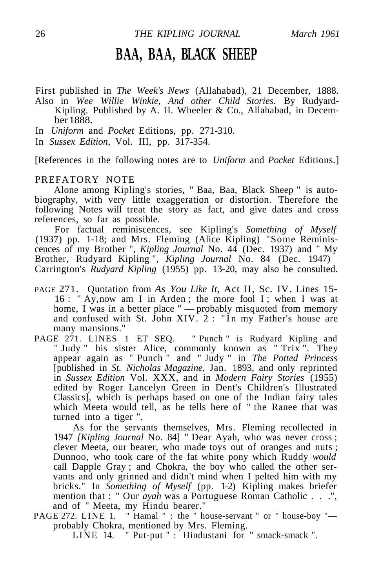### **BAA, BAA, BLACK SHEEP**

First published in *The Week's News* (Allahabad), 21 December, 1888. Also in *Wee Willie Winkie, And other Child Stories.* By Rudyard-Kipling. Published by A. H. Wheeler & Co., Allahabad, in December 1888.

In *Uniform* and *Pocket* Editions, pp. 271-310.

In *Sussex Edition,* Vol. III, pp. 317-354.

[References in the following notes are to *Uniform* and *Pocket* Editions.]

#### PREFATORY NOTE

Alone among Kipling's stories, " Baa, Baa, Black Sheep " is autobiography, with very little exaggeration or distortion. Therefore the following Notes will treat the story as fact, and give dates and cross references, so far as possible.

For factual reminiscences, see Kipling's *Something of Myself* (1937) pp. 1-18; and Mrs. Fleming (Alice Kipling) "Some Reminiscences of my Brother ", *Kipling Journal* No. 44 (Dec. 1937) and " My Brother, Rudyard Kipling ", *Kipling Journal* No. 84 (Dec. 1947) Carrington's *Rudyard Kipling* (1955) pp. 13-20, may also be consulted.

- PAGE 271. Quotation from *As You Like It,* Act II, Sc. IV. Lines 15- 16 : " Ay, now am I in Arden ; the more fool I ; when I was at home, I was in a better place " — probably misquoted from memory and confused with St. John XIV.  $2:$  "In my Father's house are many mansions."
- PAGE 271. LINES 1 ET SEO. "Punch " is Rudyard Kipling and " Judy " his sister Alice, commonly known as " Trix ". They appear again as " Punch " and " Judy " in *The Potted Princess* [published in *St. Nicholas Magazine,* Jan. 1893, and only reprinted in *Sussex Edition* Vol. XXX, and in *Modern Fairy Stories* (1955) edited by Roger Lancelyn Green in Dent's Children's Illustrated Classics], which is perhaps based on one of the Indian fairy tales which Meeta would tell, as he tells here of " the Ranee that was turned into a tiger ".

As for the servants themselves, Mrs. Fleming recollected in 1947 *[Kipling Journal* No. 84] " Dear Ayah, who was never cross ; clever Meeta, our bearer, who made toys out of oranges and nuts ; Dunnoo, who took care of the fat white pony which Ruddy *would* call Dapple Gray ; and Chokra, the boy who called the other servants and only grinned and didn't mind when I pelted him with my bricks." In *Something of Myself* (pp. 1-2) Kipling makes briefer mention that : " Our *ayah* was a Portuguese Roman Catholic . . .", and of " Meeta, my Hindu bearer."

PAGE 272. LINE 1. " Hamal " : the " house-servant " or " house-boy "probably Chokra, mentioned by Mrs. Fleming.

LINE 14. " Put-put " : Hindustani for " smack-smack ".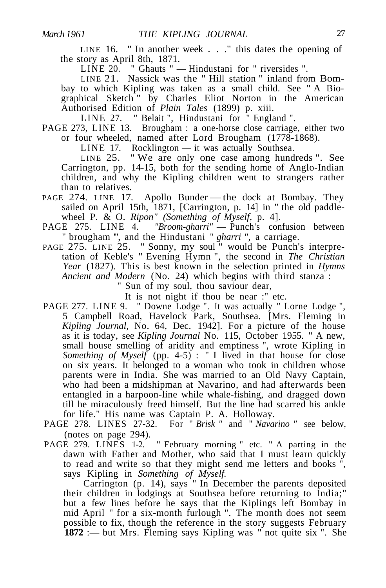LINE 16. " In another week . . ." this dates the opening of the story as April 8th, 1871.

LINE 20. " Ghauts " — Hindustani for " riversides ".

LINE 21. Nassick was the " Hill station " inland from Bombay to which Kipling was taken as a small child. See " A Biographical Sketch<sup>"</sup> by Charles Eliot Norton in the American Authorised Edition of *Plain Tales* (1899) p. xiii.

LINE 27. " Belait ", Hindustani for " England ".

PAGE 273, LINE 13. Brougham : a one-horse close carriage, either two or four wheeled, named after Lord Brougham (1778-1868).

LINE 17. Rocklington — it was actually Southsea.

LINE 25. " We are only one case among hundreds ". See Carrington, pp. 14-15, both for the sending home of Anglo-Indian children, and why the Kipling children went to strangers rather than to relatives.

- PAGE 274. LINE 17. Apollo Bunder the dock at Bombay. They sailed on April 15th, 1871, [Carrington, p. 14] in " the old paddlewheel P. & O. *Ripon" (Something of Myself,* p. 4].
- PAGE 275. LINE 4. "Broom-gharri" Punch's confusion between " brougham '", and the Hindustani " *gharri ",* a carriage.
- PAGE 275. LINE 25. " Sonny, my soul " would be Punch's interpretation of Keble's " Evening Hymn ", the second in *The Christian Year* (1827). This is best known in the selection printed in *Hymns Ancient and Modern* (No. 24) which begins with third stanza :

" Sun of my soul, thou saviour dear,

It is not night if thou be near :'' etc.

- PAGE 277. LINE 9. " Downe Lodge ". It was actually " Lorne Lodge ", 5 Campbell Road, Havelock Park, Southsea. [Mrs. Fleming in *Kipling Journal,* No. 64, Dec. 1942]. For a picture of the house as it is today, see *Kipling Journal* No. 115, October 1955. " A new, small house smelling of aridity and emptiness ", wrote Kipling in *Something of Myself* (pp. 4-5): " I lived in that house for close on six years. It belonged to a woman who took in children whose parents were in India. She was married to an Old Navy Captain, who had been a midshipman at Navarino, and had afterwards been entangled in a harpoon-line while whale-fishing, and dragged down till he miraculously freed himself. But the line had scarred his ankle for life." His name was Captain P. A. Holloway.
- PAGE 278. LINES 27-32. For " *Brisk "* and " *Navarino "* see below, (notes on page 294).
- PAGE 279. LINES 1-2. "February morning " etc. " A parting in the dawn with Father and Mother, who said that I must learn quickly to read and write so that they might send me letters and books ", says Kipling in *Something of Myself.*

Carrington (p. 14), says " In December the parents deposited their children in lodgings at Southsea before returning to India;" but a few lines before he says that the Kiplings left Bombay in mid April " for a six-month furlough ". The month does not seem possible to fix, though the reference in the story suggests February **1872** :— but Mrs. Fleming says Kipling was " not quite six ". She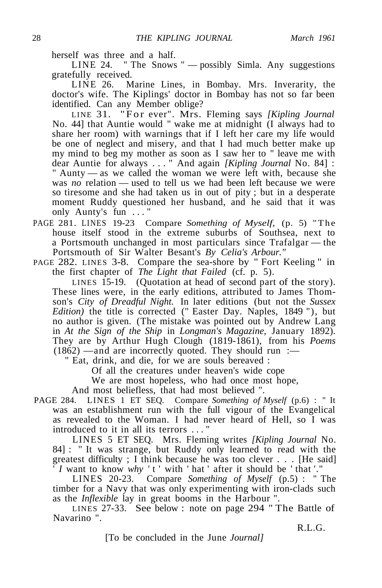herself was three and a half.

LINE 24. " The Snows " — possibly Simla. Any suggestions gratefully received.

LINE 26. Marine Lines, in Bombay. Mrs. Inverarity, the doctor's wife. The Kiplings' doctor in Bombay has not so far been identified. Can any Member oblige?

LINE 31. "For ever". Mrs. Fleming says [Kipling Journal No. 44] that Auntie would " wake me at midnight (I always had to share her room) with warnings that if I left her care my life would be one of neglect and misery, and that I had much better make up my mind to beg my mother as soon as I saw her to " leave me with dear Auntie for always ... " And again *[Kipling Journal* No. 84] : " Aunty — as we called the woman we were left with, because she was *no* relation — used to tell us we had been left because we were so tiresome and she had taken us in out of pity ; but in a desperate moment Ruddy questioned her husband, and he said that it was only Aunty's fun ... "

- PAGE 281. LINES 19-23 Compare *Something of Myself,* (p. 5) "The house itself stood in the extreme suburbs of Southsea, next to a Portsmouth unchanged in most particulars since Trafalgar — the Portsmouth of Sir Walter Besant's *By Celia's Arbour."*
- PAGE 282. LINES 3-8. Compare the sea-shore by " Fort Keeling " in the first chapter of *The Light that Failed* (cf. p. 5).

LINES 15-19. (Quotation at head of second part of the story). These lines were, in the early editions, attributed to James Thomson's *City of Dreadful Night.* In later editions (but not the *Sussex Edition*) the title is corrected (" Easter Day. Naples, 1849 "), but no author is given. (The mistake was pointed out by Andrew Lang in *At the Sign of the Ship* in *Longman's Magazine,* January 1892). They are by Arthur Hugh Clough (1819-1861), from his *Poems*  $(1862)$  —and are incorrectly quoted. They should run :—

" Eat, drink, and die, for we are souls bereaved :

Of all the creatures under heaven's wide cope

We are most hopeless, who had once most hope,

And most beliefless, that had most believed ".

PAGE 284. LINES 1 ET SEQ. Compare *Something of Myself* (p.6) : " It was an establishment run with the full vigour of the Evangelical as revealed to the Woman. I had never heard of Hell, so I was introduced to it in all its terrors ... "

LINES 5 ET SEQ. Mrs. Fleming writes *[Kipling Journal* No. 84] : " It was strange, but Ruddy only learned to read with the greatest difficulty ; I think because he was too clever . . . [He said] ' *I* want to know *why '* t ' with ' hat ' after it should be ' that '."

LINES 20-23. Compare *Something of Myself* (p.5) : " The timber for a Navy that was only experimenting with iron-clads such as the *Inflexible* lay in great booms in the Harbour ".

LINES 27-33. See below : note on page 294 " The Battle of Navarino ".

R.L.G.

[To be concluded in the June *Journal]*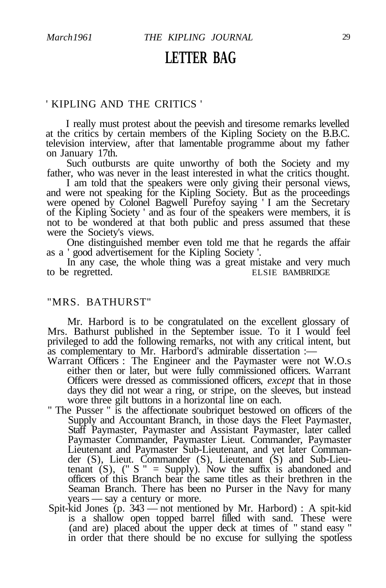### **LETTER BAG**

### ' KIPLING AND THE CRITICS '

I really must protest about the peevish and tiresome remarks levelled at the critics by certain members of the Kipling Society on the B.B.C. television interview, after that lamentable programme about my father on January 17th.

Such outbursts are quite unworthy of both the Society and my father, who was never in the least interested in what the critics thought.

I am told that the speakers were only giving their personal views, and were not speaking for the Kipling Society. But as the proceedings were opened by Colonel Bagwell Purefoy saying ' I am the Secretary of the Kipling Society ' and as four of the speakers were members, it is not to be wondered at that both public and press assumed that these were the Society's views.

One distinguished member even told me that he regards the affair as a ' good advertisement for the Kipling Society '.

In any case, the whole thing was a great mistake and very much<br>expected. ELSIE BAMBRIDGE to be regretted.

### "MRS. BATHURST"

Mr. Harbord is to be congratulated on the excellent glossary of Mrs. Bathurst published in the September issue. To it I would feel privileged to add the following remarks, not with any critical intent, but as complementary to Mr. Harbord's admirable dissertation :—

- Warrant Officers : The Engineer and the Paymaster were not W.O.s either then or later, but were fully commissioned officers. Warrant Officers were dressed as commissioned officers, *except* that in those days they did not wear a ring, or stripe, on the sleeves, but instead wore three gilt buttons in a horizontal line on each.
- " The Pusser " is the affectionate soubriquet bestowed on officers of the Supply and Accountant Branch, in those days the Fleet Paymaster, Staff Paymaster, Paymaster and Assistant Paymaster, later called Paymaster Commander, Paymaster Lieut. Commander, Paymaster Lieutenant and Paymaster Sub-Lieutenant, and yet later Commander (S), Lieut. Commander (S), Lieutenant (S) and Sub-Lieutenant  $(S)$ ,  $(" S" = Supply)$ . Now the suffix is abandoned and officers of this Branch bear the same titles as their brethren in the Seaman Branch. There has been no Purser in the Navy for many years — say a century or more.
- Spit-kid Jones (p. 343 not mentioned by Mr. Harbord) : A spit-kid is a shallow open topped barrel filled with sand. These were (and are) placed about the upper deck at times of " stand easy " in order that there should be no excuse for sullying the spotless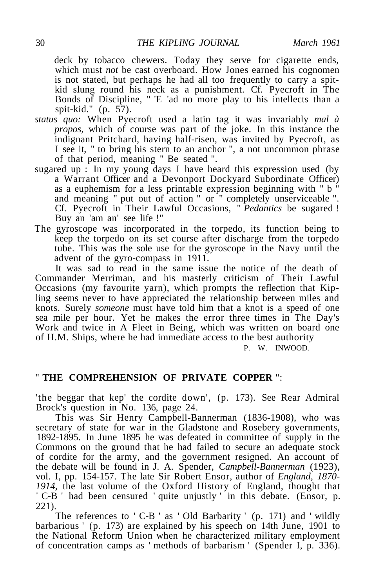deck by tobacco chewers. Today they serve for cigarette ends, which must *not* be cast overboard. How Jones earned his cognomen is not stated, but perhaps he had all too frequently to carry a spitkid slung round his neck as a punishment. Cf. Pyecroft in The Bonds of Discipline, " 'E 'ad no more play to his intellects than a spit-kid." (p. 57).

- *status quo:* When Pyecroft used a latin tag it was invariably *mal à propos,* which of course was part of the joke. In this instance the indignant Pritchard, having half-risen, was invited by Pyecroft, as I see it, " to bring his stern to an anchor ", a not uncommon phrase of that period, meaning " Be seated ".
- sugared up : In my young days I have heard this expression used (by a Warrant Officer and a Devonport Dockyard Subordinate Officer) as a euphemism for a less printable expression beginning with " b " and meaning " put out of action " or " completely unserviceable ". Cf. Pyecroft in Their Lawful Occasions, " *Pedantics* be sugared ! Buy an 'am an' see life !"
- The gyroscope was incorporated in the torpedo, its function being to keep the torpedo on its set course after discharge from the torpedo tube. This was the sole use for the gyroscope in the Navy until the advent of the gyro-compass in 1911.

It was sad to read in the same issue the notice of the death of Commander Merriman, and his masterly criticism of Their Lawful Occasions (my favourite yarn), which prompts the reflection that Kipling seems never to have appreciated the relationship between miles and knots. Surely *someone* must have told him that a knot is a speed of one sea mile per hour. Yet he makes the error three times in The Day's Work and twice in A Fleet in Being, which was written on board one of H.M. Ships, where he had immediate access to the best authority

P. W. INWOOD.

### " **THE COMPREHENSION OF PRIVATE COPPER** ":

'the beggar that kep' the cordite down', (p. 173). See Rear Admiral Brock's question in No. 136, page 24.

This was Sir Henry Campbell-Bannerman (1836-1908), who was secretary of state for war in the Gladstone and Rosebery governments, 1892-1895. In June 1895 he was defeated in committee of supply in the Commons on the ground that he had failed to secure an adequate stock of cordite for the army, and the government resigned. An account of the debate will be found in J. A. Spender, *Campbell-Bannerman* (1923), vol. I, pp. 154-157. The late Sir Robert Ensor, author of *England, 1870- 1914,* the last volume of the Oxford History of England, thought that ' C-B ' had been censured ' quite unjustly ' in this debate. (Ensor, p. 221).

The references to ' C-B ' as ' Old Barbarity ' (p. 171) and ' wildly barbarious ' (p. 173) are explained by his speech on 14th June, 1901 to the National Reform Union when he characterized military employment of concentration camps as ' methods of barbarism ' (Spender I, p. 336).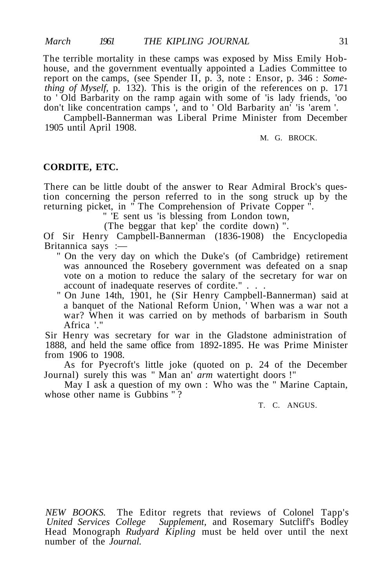The terrible mortality in these camps was exposed by Miss Emily Hobhouse, and the government eventually appointed a Ladies Committee to report on the camps, (see Spender II, p. 3, note : Ensor, p. 346 : *Something of Myself,* p. 132). This is the origin of the references on p. 171 to ' Old Barbarity on the ramp again with some of 'is lady friends, 'oo don't like concentration camps ', and to ' Old Barbarity an' 'is 'arem '.

Campbell-Bannerman was Liberal Prime Minister from December 1905 until April 1908.

M. G. BROCK.

#### **CORDITE, ETC.**

There can be little doubt of the answer to Rear Admiral Brock's question concerning the person referred to in the song struck up by the returning picket, in " The Comprehension of Private Copper ".

" 'E sent us 'is blessing from London town,

(The beggar that kep' the cordite down) ".

Of Sir Henry Campbell-Bannerman (1836-1908) the Encyclopedia Britannica says :—

- " On the very day on which the Duke's (of Cambridge) retirement was announced the Rosebery government was defeated on a snap vote on a motion to reduce the salary of the secretary for war on account of inadequate reserves of cordite." . . .
- " On June 14th, 1901, he (Sir Henry Campbell-Bannerman) said at a banquet of the National Reform Union, ' When was a war not a war? When it was carried on by methods of barbarism in South Africa '."

Sir Henry was secretary for war in the Gladstone administration of 1888, and held the same office from 1892-1895. He was Prime Minister from 1906 to 1908.

As for Pyecroft's little joke (quoted on p. 24 of the December Journal) surely this was " Man an' *arm* watertight doors !"

May I ask a question of my own : Who was the " Marine Captain, whose other name is Gubbins "?

T. C. ANGUS.

*NEW BOOKS.* The Editor regrets that reviews of Colonel Tapp's *United Services College Supplement,* and Rosemary Sutcliff's Bodley Head Monograph *Rudyard Kipling* must be held over until the next number of the *Journal.*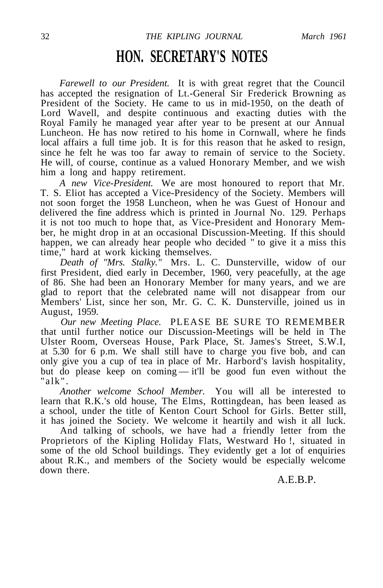### **HON. SECRETARY'S NOTES**

*Farewell to our President.* It is with great regret that the Council has accepted the resignation of Lt.-General Sir Frederick Browning as President of the Society. He came to us in mid-1950, on the death of Lord Wavell, and despite continuous and exacting duties with the Royal Family he managed year after year to be present at our Annual Luncheon. He has now retired to his home in Cornwall, where he finds local affairs a full time job. It is for this reason that he asked to resign, since he felt he was too far away to remain of service to the Society. He will, of course, continue as a valued Honorary Member, and we wish him a long and happy retirement.

*A new Vice-President.* We are most honoured to report that Mr. T. S. Eliot has accepted a Vice-Presidency of the Society. Members will not soon forget the 1958 Luncheon, when he was Guest of Honour and delivered the fine address which is printed in Journal No. 129. Perhaps it is not too much to hope that, as Vice-President and Honorary Member, he might drop in at an occasional Discussion-Meeting. If this should happen, we can already hear people who decided " to give it a miss this time," hard at work kicking themselves.

*Death of "Mrs. Stalky."* Mrs. L. C. Dunsterville, widow of our first President, died early in December, 1960, very peacefully, at the age of 86. She had been an Honorary Member for many years, and we are glad to report that the celebrated name will not disappear from our Members' List, since her son, Mr. G. C. K. Dunsterville, joined us in August, 1959.

*Our new Meeting Place.* PLEASE BE SURE TO REMEMBER that until further notice our Discussion-Meetings will be held in The Ulster Room, Overseas House, Park Place, St. James's Street, S.W.I, at 5.30 for 6 p.m. We shall still have to charge you five bob, and can only give you a cup of tea in place of Mr. Harbord's lavish hospitality, but do please keep on coming — it'll be good fun even without the  $"alk"$ 

*Another welcome School Member.* You will all be interested to learn that R.K.'s old house, The Elms, Rottingdean, has been leased as a school, under the title of Kenton Court School for Girls. Better still, it has joined the Society. We welcome it heartily and wish it all luck.

And talking of schools, we have had a friendly letter from the Proprietors of the Kipling Holiday Flats, Westward Ho !, situated in some of the old School buildings. They evidently get a lot of enquiries about R.K., and members of the Society would be especially welcome down there.

A.E.B.P.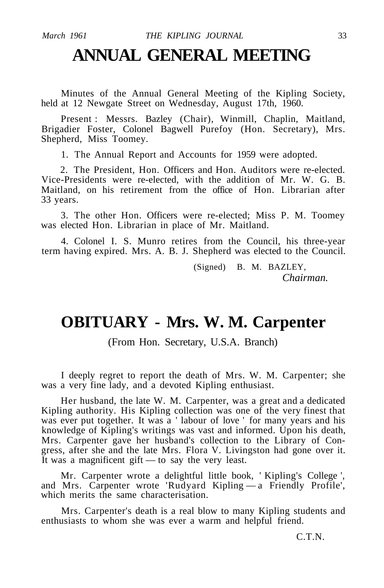### **ANNUAL GENERAL MEETING**

Minutes of the Annual General Meeting of the Kipling Society, held at 12 Newgate Street on Wednesday, August 17th, 1960.

Present : Messrs. Bazley (Chair), Winmill, Chaplin, Maitland, Brigadier Foster, Colonel Bagwell Purefoy (Hon. Secretary), Mrs. Shepherd, Miss Toomey.

1. The Annual Report and Accounts for 1959 were adopted.

2. The President, Hon. Officers and Hon. Auditors were re-elected. Vice-Presidents were re-elected, with the addition of Mr. W. G. B. Maitland, on his retirement from the office of Hon. Librarian after 33 years.

3. The other Hon. Officers were re-elected; Miss P. M. Toomey was elected Hon. Librarian in place of Mr. Maitland.

4. Colonel I. S. Munro retires from the Council, his three-year term having expired. Mrs. A. B. J. Shepherd was elected to the Council.

> (Signed) B. M. BAZLEY, *Chairman.*

### **OBITUARY - Mrs. W. M. Carpenter**

(From Hon. Secretary, U.S.A. Branch)

I deeply regret to report the death of Mrs. W. M. Carpenter; she was a very fine lady, and a devoted Kipling enthusiast.

Her husband, the late W. M. Carpenter, was a great and a dedicated Kipling authority. His Kipling collection was one of the very finest that was ever put together. It was a 'labour of love ' for many years and his knowledge of Kipling's writings was vast and informed. Upon his death, Mrs. Carpenter gave her husband's collection to the Library of Congress, after she and the late Mrs. Flora V. Livingston had gone over it. It was a magnificent gift — to say the very least.

Mr. Carpenter wrote a delightful little book, ' Kipling's College ', and Mrs. Carpenter wrote 'Rudyard Kipling — a Friendly Profile', which merits the same characterisation.

Mrs. Carpenter's death is a real blow to many Kipling students and enthusiasts to whom she was ever a warm and helpful friend.

C.T.N.